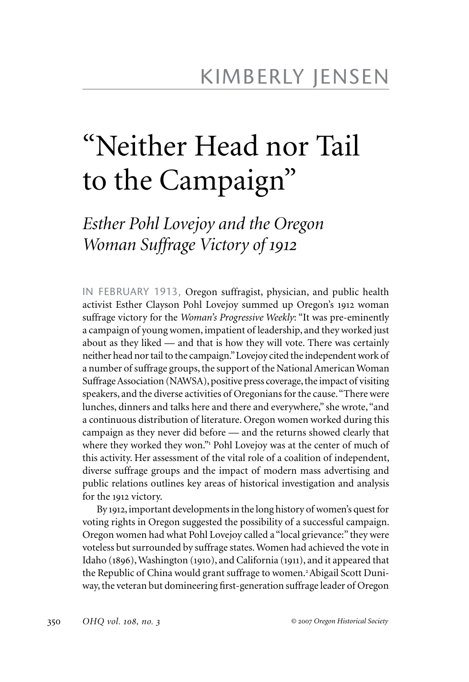## "Neither Head nor Tail to the Campaign"

*Esther Pohl Lovejoy and the Oregon Woman Suffrage Victory of 1912*

IN FEBRUARY 1913, Oregon suffragist, physician, and public health activist Esther Clayson Pohl Lovejoy summed up Oregon's 1912 woman suffrage victory for the *Woman's Progressive Weekly*: "It was pre-eminently a campaign of young women, impatient of leadership, and they worked just about as they liked — and that is how they will vote. There was certainly neither head nor tail to the campaign." Lovejoy cited the independent work of a number of suffrage groups, the support of the National American Woman Suffrage Association (NAWSA), positive press coverage, the impact of visiting speakers, and the diverse activities of Oregonians for the cause. "There were lunches, dinners and talks here and there and everywhere," she wrote, "and a continuous distribution of literature. Oregon women worked during this campaign as they never did before — and the returns showed clearly that where they worked they won." Pohl Lovejoy was at the center of much of this activity. Her assessment of the vital role of a coalition of independent, diverse suffrage groups and the impact of modern mass advertising and public relations outlines key areas of historical investigation and analysis for the 1912 victory.

By 1912, important developments in the long history of women's quest for voting rights in Oregon suggested the possibility of a successful campaign. Oregon women had what Pohl Lovejoy called a "local grievance:" they were voteless but surrounded by suffrage states. Women had achieved the vote in Idaho (1896), Washington (1910), and California (1911), and it appeared that the Republic of China would grant suffrage to women.2Abigail Scott Duniway, the veteran but domineering first-generation suffrage leader of Oregon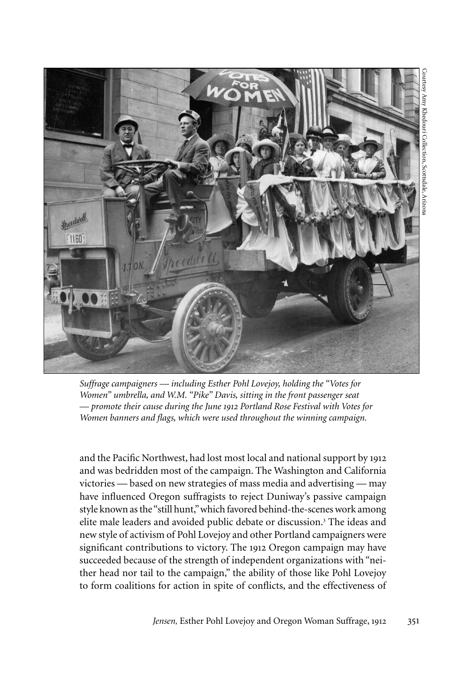



*Suffrage campaigners — including Esther Pohl Lovejoy, holding the "Votes for Women" umbrella, and W.M. "Pike" Davis, sitting in the front passenger seat — promote their cause during the June 1912 Portland Rose Festival with Votes for Women banners and flags, which were used throughout the winning campaign.* 

and the Pacific Northwest, had lost most local and national support by 1912 and was bedridden most of the campaign. The Washington and California victories — based on new strategies of mass media and advertising — may have influenced Oregon suffragists to reject Duniway's passive campaign style known as the "still hunt," which favored behind-the-scenes work among elite male leaders and avoided public debate or discussion.<sup>3</sup> The ideas and new style of activism of Pohl Lovejoy and other Portland campaigners were significant contributions to victory. The 1912 Oregon campaign may have succeeded because of the strength of independent organizations with "neither head nor tail to the campaign," the ability of those like Pohl Lovejoy to form coalitions for action in spite of conflicts, and the effectiveness of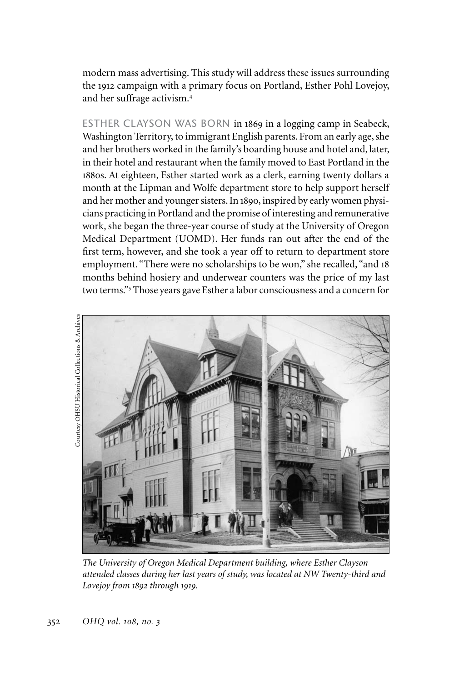modern mass advertising. This study will address these issues surrounding the 1912 campaign with a primary focus on Portland, Esther Pohl Lovejoy, and her suffrage activism.<sup>4</sup>

ESTHER CLAYSON WAS BORN in 1869 in a logging camp in Seabeck, Washington Territory, to immigrant English parents. From an early age, she and her brothers worked in the family's boarding house and hotel and, later, in their hotel and restaurant when the family moved to East Portland in the 1880s. At eighteen, Esther started work as a clerk, earning twenty dollars a month at the Lipman and Wolfe department store to help support herself and her mother and younger sisters. In 1890, inspired by early women physicians practicing in Portland and the promise of interesting and remunerative work, she began the three-year course of study at the University of Oregon Medical Department (UOMD). Her funds ran out after the end of the first term, however, and she took a year off to return to department store employment. "There were no scholarships to be won," she recalled, "and 18 months behind hosiery and underwear counters was the price of my last two terms."<sup>5</sup> Those years gave Esther a labor consciousness and a concern for



*The University of Oregon Medical Department building, where Esther Clayson attended classes during her last years of study, was located at NW Twenty-third and Lovejoy from 1892 through 1919.*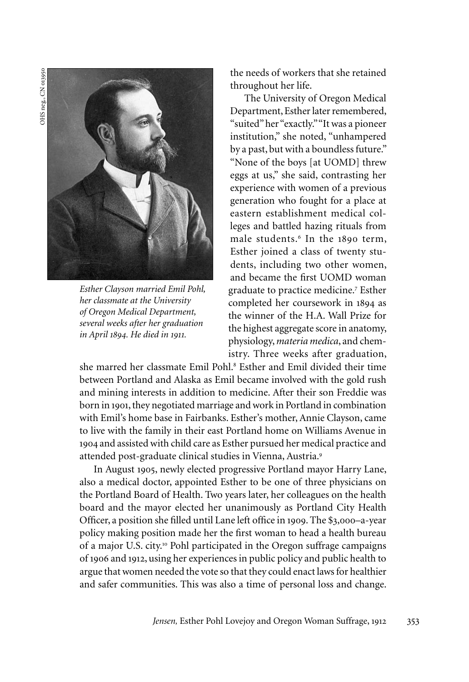OHS neg., CN 013950 OHS neg., CN 013950



*Esther Clayson married Emil Pohl, her classmate at the University of Oregon Medical Department, several weeks after her graduation in April 1894. He died in 1911.*

the needs of workers that she retained throughout her life.

The University of Oregon Medical Department, Esther later remembered, "suited" her "exactly." "It was a pioneer institution," she noted, "unhampered by a past, but with a boundless future." "None of the boys [at UOMD] threw eggs at us," she said, contrasting her experience with women of a previous generation who fought for a place at eastern establishment medical colleges and battled hazing rituals from male students.<sup>6</sup> In the 1890 term, Esther joined a class of twenty students, including two other women, and became the first UOMD woman graduate to practice medicine.<sup>7</sup> Esther completed her coursework in 1894 as the winner of the H.A. Wall Prize for the highest aggregate score in anatomy, physiology, *materia medica*, and chemistry. Three weeks after graduation,

she marred her classmate Emil Pohl.<sup>8</sup> Esther and Emil divided their time between Portland and Alaska as Emil became involved with the gold rush and mining interests in addition to medicine. After their son Freddie was born in 1901, they negotiated marriage and work in Portland in combination with Emil's home base in Fairbanks. Esther's mother, Annie Clayson, came to live with the family in their east Portland home on Williams Avenue in 1904 and assisted with child care as Esther pursued her medical practice and attended post-graduate clinical studies in Vienna, Austria.<sup>9</sup>

In August 1905, newly elected progressive Portland mayor Harry Lane, also a medical doctor, appointed Esther to be one of three physicians on the Portland Board of Health. Two years later, her colleagues on the health board and the mayor elected her unanimously as Portland City Health Officer, a position she filled until Lane left office in 1909. The \$3,000–a-year policy making position made her the first woman to head a health bureau of a major U.S. city.<sup>10</sup> Pohl participated in the Oregon suffrage campaigns of 1906 and 1912, using her experiences in public policy and public health to argue that women needed the vote so that they could enact laws for healthier and safer communities. This was also a time of personal loss and change.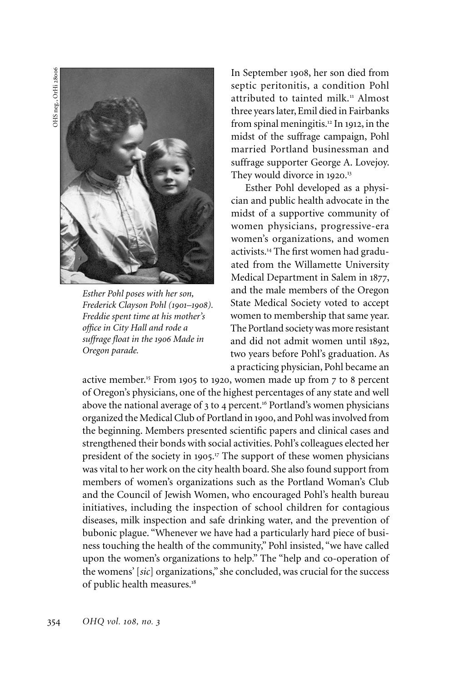OHS neg., OrHi 28006 OHS neg., OrHi 28006



*Esther Pohl poses with her son, Frederick Clayson Pohl (1901–1908). Freddie spent time at his mother's office in City Hall and rode a suffrage float in the 1906 Made in Oregon parade.* 

In September 1908, her son died from septic peritonitis, a condition Pohl attributed to tainted milk.<sup>11</sup> Almost three years later, Emil died in Fairbanks from spinal meningitis.<sup>12</sup> In 1912, in the midst of the suffrage campaign, Pohl married Portland businessman and suffrage supporter George A. Lovejoy. They would divorce in 1920.<sup>13</sup>

Esther Pohl developed as a physician and public health advocate in the midst of a supportive community of women physicians, progressive-era women's organizations, and women activists.14 The first women had graduated from the Willamette University Medical Department in Salem in 1877, and the male members of the Oregon State Medical Society voted to accept women to membership that same year. The Portland society was more resistant and did not admit women until 1892, two years before Pohl's graduation. As a practicing physician, Pohl became an

active member.<sup>15</sup> From 1905 to 1920, women made up from 7 to 8 percent of Oregon's physicians, one of the highest percentages of any state and well above the national average of 3 to 4 percent.<sup>16</sup> Portland's women physicians organized the Medical Club of Portland in 1900, and Pohl was involved from the beginning. Members presented scientific papers and clinical cases and strengthened their bonds with social activities. Pohl's colleagues elected her president of the society in 1905.<sup>17</sup> The support of these women physicians was vital to her work on the city health board. She also found support from members of women's organizations such as the Portland Woman's Club and the Council of Jewish Women, who encouraged Pohl's health bureau initiatives, including the inspection of school children for contagious diseases, milk inspection and safe drinking water, and the prevention of bubonic plague. "Whenever we have had a particularly hard piece of business touching the health of the community," Pohl insisted, "we have called upon the women's organizations to help." The "help and co-operation of the womens' [*sic*] organizations," she concluded, was crucial for the success of public health measures.<sup>18</sup>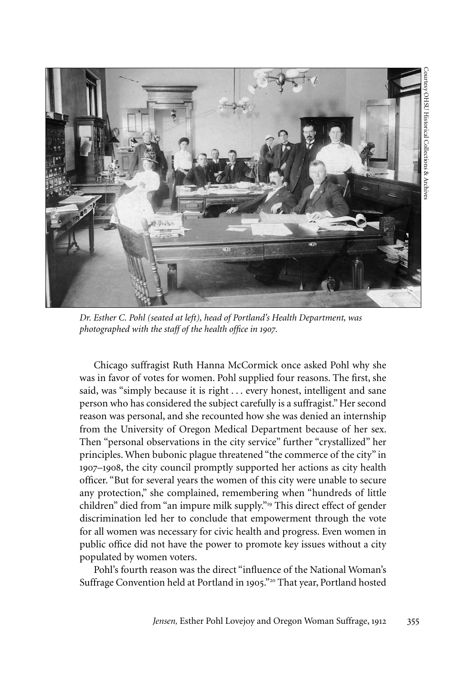

*Dr. Esther C. Pohl (seated at left), head of Portland's Health Department, was photographed with the staff of the health office in 1907.* 

Chicago suffragist Ruth Hanna McCormick once asked Pohl why she was in favor of votes for women. Pohl supplied four reasons. The first, she said, was "simply because it is right . . . every honest, intelligent and sane person who has considered the subject carefully is a suffragist." Her second reason was personal, and she recounted how she was denied an internship from the University of Oregon Medical Department because of her sex. Then "personal observations in the city service" further "crystallized" her principles. When bubonic plague threatened "the commerce of the city" in 1907–1908, the city council promptly supported her actions as city health officer. "But for several years the women of this city were unable to secure any protection," she complained, remembering when "hundreds of little children" died from "an impure milk supply."<sup>19</sup> This direct effect of gender discrimination led her to conclude that empowerment through the vote for all women was necessary for civic health and progress. Even women in public office did not have the power to promote key issues without a city populated by women voters.

Pohl's fourth reason was the direct "influence of the National Woman's Suffrage Convention held at Portland in 1905."<sup>20</sup> That year, Portland hosted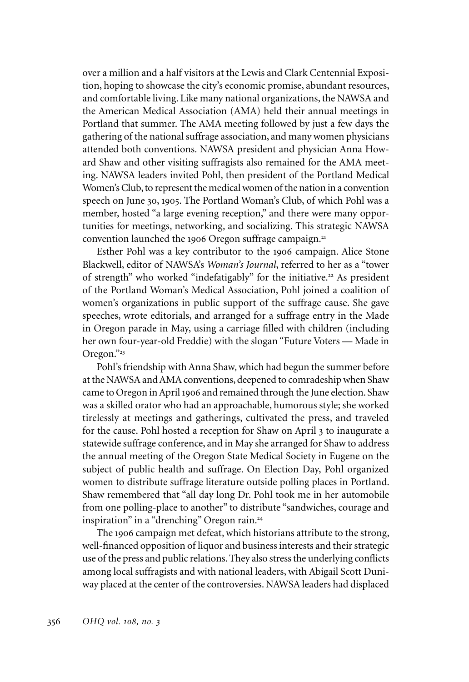over a million and a half visitors at the Lewis and Clark Centennial Exposition, hoping to showcase the city's economic promise, abundant resources, and comfortable living. Like many national organizations, the NAWSA and the American Medical Association (AMA) held their annual meetings in Portland that summer. The AMA meeting followed by just a few days the gathering of the national suffrage association, and many women physicians attended both conventions. NAWSA president and physician Anna Howard Shaw and other visiting suffragists also remained for the AMA meeting. NAWSA leaders invited Pohl, then president of the Portland Medical Women's Club, to represent the medical women of the nation in a convention speech on June 30, 1905. The Portland Woman's Club, of which Pohl was a member, hosted "a large evening reception," and there were many opportunities for meetings, networking, and socializing. This strategic NAWSA convention launched the 1906 Oregon suffrage campaign.<sup>21</sup>

Esther Pohl was a key contributor to the 1906 campaign. Alice Stone Blackwell, editor of NAWSA's *Woman's Journal*, referred to her as a "tower of strength" who worked "indefatigably" for the initiative.<sup>22</sup> As president of the Portland Woman's Medical Association, Pohl joined a coalition of women's organizations in public support of the suffrage cause. She gave speeches, wrote editorials, and arranged for a suffrage entry in the Made in Oregon parade in May, using a carriage filled with children (including her own four-year-old Freddie) with the slogan "Future Voters — Made in Oregon."<sup>23</sup>

Pohl's friendship with Anna Shaw, which had begun the summer before at the NAWSA and AMA conventions, deepened to comradeship when Shaw came to Oregon in April 1906 and remained through the June election. Shaw was a skilled orator who had an approachable, humorous style; she worked tirelessly at meetings and gatherings, cultivated the press, and traveled for the cause. Pohl hosted a reception for Shaw on April 3 to inaugurate a statewide suffrage conference, and in May she arranged for Shaw to address the annual meeting of the Oregon State Medical Society in Eugene on the subject of public health and suffrage. On Election Day, Pohl organized women to distribute suffrage literature outside polling places in Portland. Shaw remembered that "all day long Dr. Pohl took me in her automobile from one polling-place to another" to distribute "sandwiches, courage and inspiration" in a "drenching" Oregon rain.<sup>24</sup>

The 1906 campaign met defeat, which historians attribute to the strong, well-financed opposition of liquor and business interests and their strategic use of the press and public relations. They also stress the underlying conflicts among local suffragists and with national leaders, with Abigail Scott Duniway placed at the center of the controversies. NAWSA leaders had displaced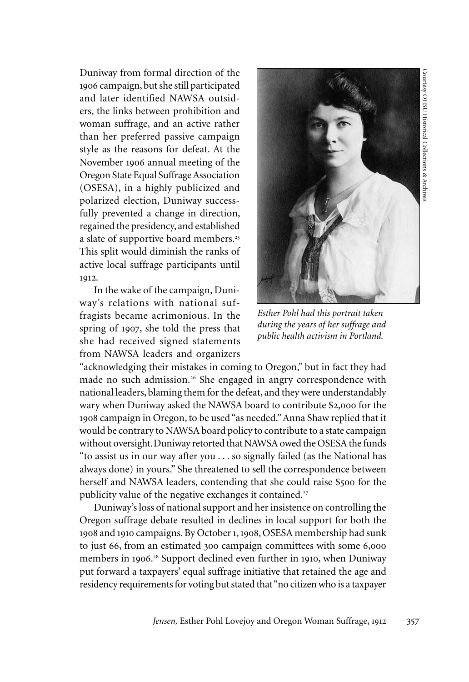Duniway from formal direction of the 1906 campaign, but she still participated and later identified NAWSA outsiders, the links between prohibition and woman suffrage, and an active rather than her preferred passive campaign style as the reasons for defeat. At the November 1906 annual meeting of the Oregon State Equal Suffrage Association (OSESA), in a highly publicized and polarized election, Duniway successfully prevented a change in direction, regained the presidency, and established a slate of supportive board members.<sup>25</sup> This split would diminish the ranks of active local suffrage participants until 1912.

In the wake of the campaign, Duniway's relations with national suffragists became acrimonious. In the spring of 1907, she told the press that she had received signed statements from NAWSA leaders and organizers



*Esther Pohl had this portrait taken during the years of her suffrage and public health activism in Portland.*

"acknowledging their mistakes in coming to Oregon," but in fact they had made no such admission.<sup>26</sup> She engaged in angry correspondence with national leaders, blaming them for the defeat, and they were understandably wary when Duniway asked the NAWSA board to contribute \$2,000 for the 1908 campaign in Oregon, to be used "as needed." Anna Shaw replied that it would be contrary to NAWSA board policy to contribute to a state campaign without oversight.Duniway retorted that NAWSA owed the OSESA the funds "to assist us in our way after you . . . so signally failed (as the National has always done) in yours." She threatened to sell the correspondence between herself and NAWSA leaders, contending that she could raise \$500 for the publicity value of the negative exchanges it contained.<sup>27</sup>

Duniway's loss of national support and her insistence on controlling the Oregon suffrage debate resulted in declines in local support for both the 1908 and 1910 campaigns. By October 1, 1908, OSESA membership had sunk to just 66, from an estimated 300 campaign committees with some 6,000 members in 1906. <sup>28</sup> Support declined even further in 1910, when Duniway put forward a taxpayers' equal suffrage initiative that retained the age and residency requirements for voting but stated that "no citizen who is a taxpayer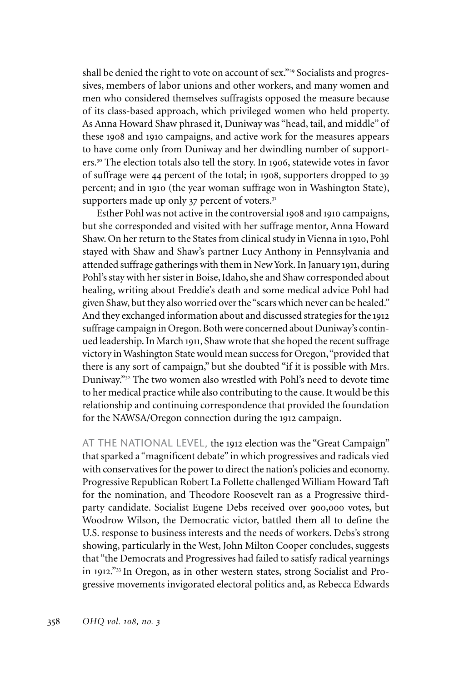shall be denied the right to vote on account of sex."<sup>29</sup> Socialists and progressives, members of labor unions and other workers, and many women and men who considered themselves suffragists opposed the measure because of its class-based approach, which privileged women who held property. As Anna Howard Shaw phrased it, Duniway was "head, tail, and middle" of these 1908 and 1910 campaigns, and active work for the measures appears to have come only from Duniway and her dwindling number of supporters.<sup>30</sup> The election totals also tell the story. In 1906, statewide votes in favor of suffrage were 44 percent of the total; in 1908, supporters dropped to 39 percent; and in 1910 (the year woman suffrage won in Washington State), supporters made up only  $37$  percent of voters. $31$ 

Esther Pohl was not active in the controversial 1908 and 1910 campaigns, but she corresponded and visited with her suffrage mentor, Anna Howard Shaw. On her return to the States from clinical study in Vienna in 1910, Pohl stayed with Shaw and Shaw's partner Lucy Anthony in Pennsylvania and attended suffrage gatherings with them in New York. In January 1911, during Pohl's stay with her sister in Boise, Idaho, she and Shaw corresponded about healing, writing about Freddie's death and some medical advice Pohl had given Shaw, but they also worried over the "scars which never can be healed." And they exchanged information about and discussed strategies for the 1912 suffrage campaign in Oregon. Both were concerned about Duniway's continued leadership. In March 1911, Shaw wrote that she hoped the recent suffrage victory in Washington State would mean success for Oregon, "provided that there is any sort of campaign," but she doubted "if it is possible with Mrs. Duniway."<sup>32</sup> The two women also wrestled with Pohl's need to devote time to her medical practice while also contributing to the cause. It would be this relationship and continuing correspondence that provided the foundation for the NAWSA/Oregon connection during the 1912 campaign.

AT THE NATIONAL LEVEL, the 1912 election was the "Great Campaign" that sparked a "magnificent debate" in which progressives and radicals vied with conservatives for the power to direct the nation's policies and economy. Progressive Republican Robert La Follette challenged William Howard Taft for the nomination, and Theodore Roosevelt ran as a Progressive thirdparty candidate. Socialist Eugene Debs received over 900,000 votes, but Woodrow Wilson, the Democratic victor, battled them all to define the U.S. response to business interests and the needs of workers. Debs's strong showing, particularly in the West, John Milton Cooper concludes, suggests that "the Democrats and Progressives had failed to satisfy radical yearnings in 1912."<sup>33</sup> In Oregon, as in other western states, strong Socialist and Progressive movements invigorated electoral politics and, as Rebecca Edwards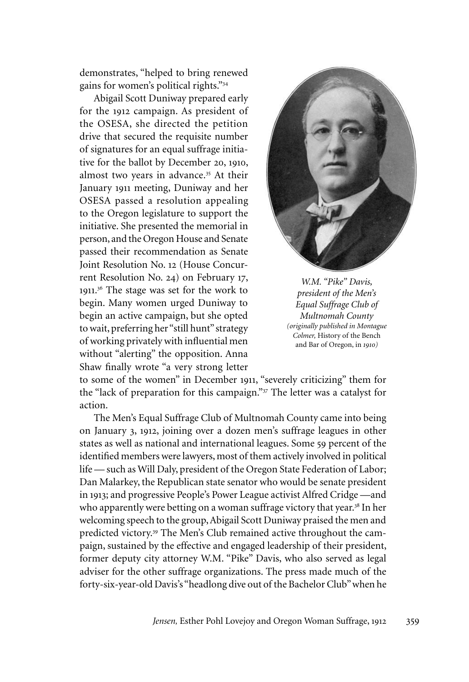demonstrates, "helped to bring renewed gains for women's political rights."<sup>34</sup>

Abigail Scott Duniway prepared early for the 1912 campaign. As president of the OSESA, she directed the petition drive that secured the requisite number of signatures for an equal suffrage initiative for the ballot by December 20, 1910, almost two years in advance.<sup>35</sup> At their January 1911 meeting, Duniway and her OSESA passed a resolution appealing to the Oregon legislature to support the initiative. She presented the memorial in person, and the Oregon House and Senate passed their recommendation as Senate Joint Resolution No. 12 (House Concurrent Resolution No. 24) on February 17, 1911. 36 The stage was set for the work to begin. Many women urged Duniway to begin an active campaign, but she opted to wait, preferring her "still hunt" strategy of working privately with influential men without "alerting" the opposition. Anna Shaw finally wrote "a very strong letter



*W.M. "Pike" Davis, president of the Men's Equal Suffrage Club of Multnomah County (originally published in Montague Colmer,* History of the Bench and Bar of Oregon, in *1910)*

to some of the women" in December 1911, "severely criticizing" them for the "lack of preparation for this campaign."<sup>37</sup> The letter was a catalyst for action.

The Men's Equal Suffrage Club of Multnomah County came into being on January 3, 1912, joining over a dozen men's suffrage leagues in other states as well as national and international leagues. Some 59 percent of the identified members were lawyers, most of them actively involved in political life — such as Will Daly, president of the Oregon State Federation of Labor; Dan Malarkey, the Republican state senator who would be senate president in 1913; and progressive People's Power League activist Alfred Cridge —and who apparently were betting on a woman suffrage victory that year.<sup>38</sup> In her welcoming speech to the group, Abigail Scott Duniway praised the men and predicted victory.<sup>39</sup> The Men's Club remained active throughout the campaign, sustained by the effective and engaged leadership of their president, former deputy city attorney W.M. "Pike" Davis, who also served as legal adviser for the other suffrage organizations. The press made much of the forty-six-year-old Davis's "headlong dive out of the Bachelor Club" when he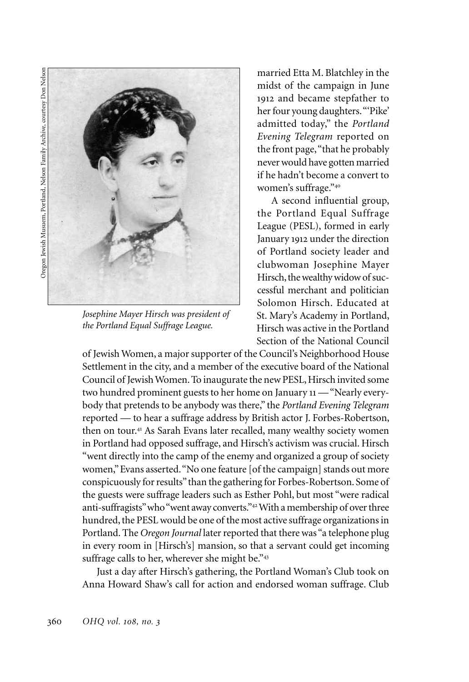

*Josephine Mayer Hirsch was president of the Portland Equal Suffrage League.* 

married Etta M. Blatchley in the midst of the campaign in June 1912 and became stepfather to her four young daughters. "'Pike' admitted today," the *Portland Evening Telegram* reported on the front page, "that he probably never would have gotten married if he hadn't become a convert to women's suffrage."<sup>40</sup>

A second influential group, the Portland Equal Suffrage League (PESL), formed in early January 1912 under the direction of Portland society leader and clubwoman Josephine Mayer Hirsch, the wealthy widow of successful merchant and politician Solomon Hirsch. Educated at St. Mary's Academy in Portland, Hirsch was active in the Portland Section of the National Council

of Jewish Women, a major supporter of the Council's Neighborhood House Settlement in the city, and a member of the executive board of the National Council of Jewish Women. To inaugurate the new PESL, Hirsch invited some two hundred prominent guests to her home on January 11 — "Nearly everybody that pretends to be anybody was there," the *Portland Evening Telegram*  reported — to hear a suffrage address by British actor J. Forbes-Robertson, then on tour.<sup>41</sup> As Sarah Evans later recalled, many wealthy society women in Portland had opposed suffrage, and Hirsch's activism was crucial. Hirsch "went directly into the camp of the enemy and organized a group of society women," Evans asserted. "No one feature [of the campaign] stands out more conspicuously for results" than the gathering for Forbes-Robertson. Some of the guests were suffrage leaders such as Esther Pohl, but most "were radical anti-suffragists" who "went away converts."<sup>42</sup> With a membership of over three hundred, the PESL would be one of the most active suffrage organizations in Portland. The *Oregon Journal* later reported that there was "a telephone plug in every room in [Hirsch's] mansion, so that a servant could get incoming suffrage calls to her, wherever she might be."43

Just a day after Hirsch's gathering, the Portland Woman's Club took on Anna Howard Shaw's call for action and endorsed woman suffrage. Club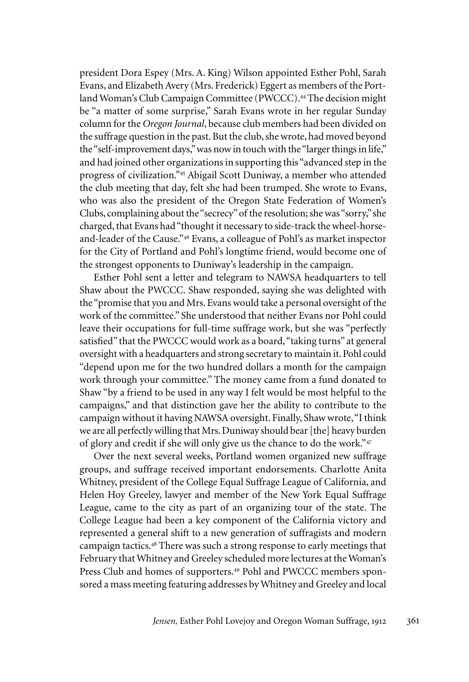president Dora Espey (Mrs. A. King) Wilson appointed Esther Pohl, Sarah Evans, and Elizabeth Avery (Mrs. Frederick) Eggert as members of the Portland Woman's Club Campaign Committee (PWCCC).<sup>44</sup> The decision might be "a matter of some surprise," Sarah Evans wrote in her regular Sunday column for the *Oregon Journal*, because club members had been divided on the suffrage question in the past. But the club, she wrote, had moved beyond the "self-improvement days," was now in touch with the "larger things in life," and had joined other organizations in supporting this "advanced step in the progress of civilization."<sup>45</sup> Abigail Scott Duniway, a member who attended the club meeting that day, felt she had been trumped. She wrote to Evans, who was also the president of the Oregon State Federation of Women's Clubs, complaining about the "secrecy" of the resolution; she was "sorry," she charged, that Evans had "thought it necessary to side-track the wheel-horseand-leader of the Cause."<sup>46</sup> Evans, a colleague of Pohl's as market inspector for the City of Portland and Pohl's longtime friend, would become one of the strongest opponents to Duniway's leadership in the campaign.

Esther Pohl sent a letter and telegram to NAWSA headquarters to tell Shaw about the PWCCC. Shaw responded, saying she was delighted with the "promise that you and Mrs. Evans would take a personal oversight of the work of the committee." She understood that neither Evans nor Pohl could leave their occupations for full-time suffrage work, but she was "perfectly satisfied" that the PWCCC would work as a board, "taking turns" at general oversight with a headquarters and strong secretary to maintain it. Pohl could "depend upon me for the two hundred dollars a month for the campaign work through your committee." The money came from a fund donated to Shaw "by a friend to be used in any way I felt would be most helpful to the campaigns," and that distinction gave her the ability to contribute to the campaign without it having NAWSA oversight. Finally, Shaw wrote, "I think we are all perfectly willing that Mrs. Duniway should bear [the] heavy burden of glory and credit if she will only give us the chance to do the work."<sup>47</sup>

Over the next several weeks, Portland women organized new suffrage groups, and suffrage received important endorsements. Charlotte Anita Whitney, president of the College Equal Suffrage League of California, and Helen Hoy Greeley, lawyer and member of the New York Equal Suffrage League, came to the city as part of an organizing tour of the state. The College League had been a key component of the California victory and represented a general shift to a new generation of suffragists and modern campaign tactics.<sup>48</sup> There was such a strong response to early meetings that February that Whitney and Greeley scheduled more lectures at the Woman's Press Club and homes of supporters.<sup>49</sup> Pohl and PWCCC members sponsored a mass meeting featuring addresses by Whitney and Greeley and local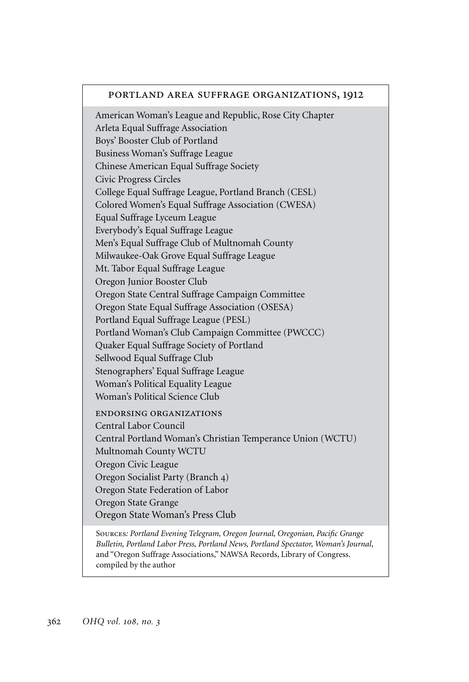## portland area suffrage organizations, 1912

American Woman's League and Republic, Rose City Chapter Arleta Equal Suffrage Association Boys' Booster Club of Portland Business Woman's Suffrage League Chinese American Equal Suffrage Society Civic Progress Circles College Equal Suffrage League, Portland Branch (CESL) Colored Women's Equal Suffrage Association (cwesa) Equal Suffrage Lyceum League Everybody's Equal Suffrage League Men's Equal Suffrage Club of Multnomah County Milwaukee-Oak Grove Equal Suffrage League Mt. Tabor Equal Suffrage League Oregon Junior Booster Club Oregon State Central Suffrage Campaign Committee Oregon State Equal Suffrage Association (OSESA) Portland Equal Suffrage League (PESL) Portland Woman's Club Campaign Committee (pwccc) Quaker Equal Suffrage Society of Portland Sellwood Equal Suffrage Club Stenographers' Equal Suffrage League Woman's Political Equality League Woman's Political Science Club endorsing organizations Central Labor Council Central Portland Woman's Christian Temperance Union (WCTU) Multnomah County WCTU Oregon Civic League Oregon Socialist Party (Branch 4) Oregon State Federation of Labor Oregon State Grange Oregon State Woman's Press Club Sources*: Portland Evening Telegram, Oregon Journal, Oregonian, Pacific Grange* 

*Bulletin, Portland Labor Press, Portland News, Portland Spectator, Woman's Journal*, and "Oregon Suffrage Associations," NAWSA Records, Library of Congress. compiled by the author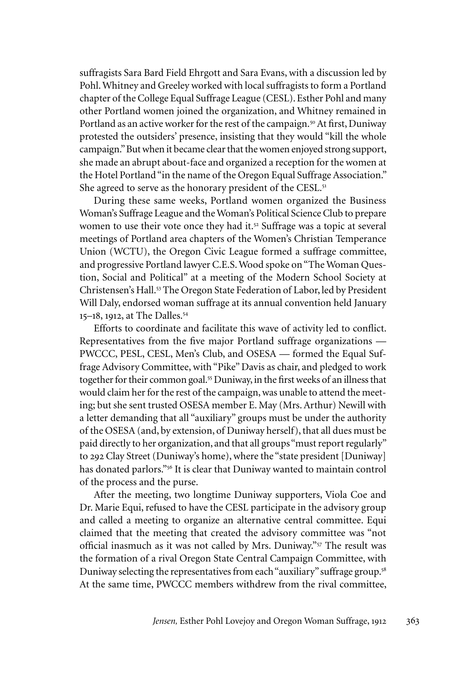suffragists Sara Bard Field Ehrgott and Sara Evans, with a discussion led by Pohl. Whitney and Greeley worked with local suffragists to form a Portland chapter of the College Equal Suffrage League (CESL). Esther Pohl and many other Portland women joined the organization, and Whitney remained in Portland as an active worker for the rest of the campaign.<sup>50</sup> At first, Duniway protested the outsiders' presence, insisting that they would "kill the whole campaign." But when it became clear that the women enjoyed strong support, she made an abrupt about-face and organized a reception for the women at the Hotel Portland "in the name of the Oregon Equal Suffrage Association." She agreed to serve as the honorary president of the CESL.<sup>51</sup>

During these same weeks, Portland women organized the Business Woman's Suffrage League and the Woman's Political Science Club to prepare women to use their vote once they had it.<sup>52</sup> Suffrage was a topic at several meetings of Portland area chapters of the Women's Christian Temperance Union (WCTU), the Oregon Civic League formed a suffrage committee, and progressive Portland lawyer C.E.S. Wood spoke on "The Woman Question, Social and Political" at a meeting of the Modern School Society at Christensen's Hall.<sup>53</sup> The Oregon State Federation of Labor, led by President Will Daly, endorsed woman suffrage at its annual convention held January 15–18, 1912, at The Dalles.<sup>54</sup>

Efforts to coordinate and facilitate this wave of activity led to conflict. Representatives from the five major Portland suffrage organizations — PWCCC, PESL, CESL, Men's Club, and OSESA — formed the Equal Suffrage Advisory Committee, with "Pike" Davis as chair, and pledged to work together for their common goal.<sup>55</sup> Duniway, in the first weeks of an illness that would claim her for the rest of the campaign, was unable to attend the meeting; but she sent trusted OSESA member E. May (Mrs. Arthur) Newill with a letter demanding that all "auxiliary" groups must be under the authority of the OSESA (and, by extension, of Duniway herself), that all dues must be paid directly to her organization, and that all groups "must report regularly" to 292 Clay Street (Duniway's home), where the "state president [Duniway] has donated parlors."<sup>56</sup> It is clear that Duniway wanted to maintain control of the process and the purse.

After the meeting, two longtime Duniway supporters, Viola Coe and Dr. Marie Equi, refused to have the CESL participate in the advisory group and called a meeting to organize an alternative central committee. Equi claimed that the meeting that created the advisory committee was "not official inasmuch as it was not called by Mrs. Duniway."<sup>57</sup> The result was the formation of a rival Oregon State Central Campaign Committee, with Duniway selecting the representatives from each "auxiliary" suffrage group.<sup>58</sup> At the same time, PWCCC members withdrew from the rival committee,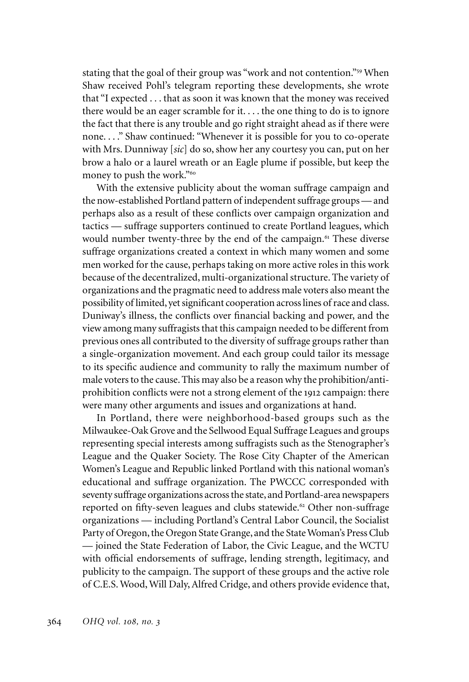stating that the goal of their group was "work and not contention."<sup>59</sup> When Shaw received Pohl's telegram reporting these developments, she wrote that "I expected . . . that as soon it was known that the money was received there would be an eager scramble for it. . . . the one thing to do is to ignore the fact that there is any trouble and go right straight ahead as if there were none. . . ." Shaw continued: "Whenever it is possible for you to co-operate with Mrs. Dunniway [*sic*] do so, show her any courtesy you can, put on her brow a halo or a laurel wreath or an Eagle plume if possible, but keep the money to push the work."<sup>60</sup>

With the extensive publicity about the woman suffrage campaign and the now-established Portland pattern of independent suffrage groups — and perhaps also as a result of these conflicts over campaign organization and tactics — suffrage supporters continued to create Portland leagues, which would number twenty-three by the end of the campaign.<sup>61</sup> These diverse suffrage organizations created a context in which many women and some men worked for the cause, perhaps taking on more active roles in this work because of the decentralized, multi-organizational structure. The variety of organizations and the pragmatic need to address male voters also meant the possibility of limited, yet significant cooperation across lines of race and class. Duniway's illness, the conflicts over financial backing and power, and the view among many suffragists that this campaign needed to be different from previous ones all contributed to the diversity of suffrage groups rather than a single-organization movement. And each group could tailor its message to its specific audience and community to rally the maximum number of male voters to the cause. This may also be a reason why the prohibition/antiprohibition conflicts were not a strong element of the 1912 campaign: there were many other arguments and issues and organizations at hand.

In Portland, there were neighborhood-based groups such as the Milwaukee-Oak Grove and the Sellwood Equal Suffrage Leagues and groups representing special interests among suffragists such as the Stenographer's League and the Quaker Society. The Rose City Chapter of the American Women's League and Republic linked Portland with this national woman's educational and suffrage organization. The PWCCC corresponded with seventy suffrage organizations across the state, and Portland-area newspapers reported on fifty-seven leagues and clubs statewide.<sup>62</sup> Other non-suffrage organizations — including Portland's Central Labor Council, the Socialist Party of Oregon, the Oregon State Grange, and the State Woman's Press Club — joined the State Federation of Labor, the Civic League, and the WCTU with official endorsements of suffrage, lending strength, legitimacy, and publicity to the campaign. The support of these groups and the active role of C.E.S. Wood, Will Daly, Alfred Cridge, and others provide evidence that,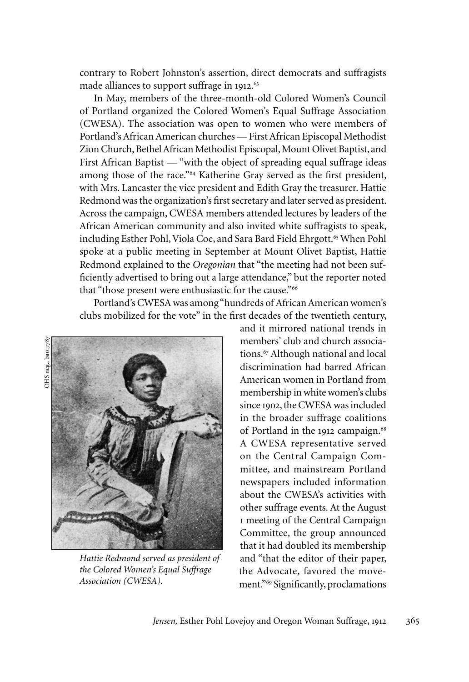contrary to Robert Johnston's assertion, direct democrats and suffragists made alliances to support suffrage in 1912.<sup>6</sup>

In May, members of the three-month-old Colored Women's Council of Portland organized the Colored Women's Equal Suffrage Association (CWESA). The association was open to women who were members of Portland's African American churches — First African Episcopal Methodist Zion Church, Bethel African Methodist Episcopal, Mount Olivet Baptist, and First African Baptist — "with the object of spreading equal suffrage ideas among those of the race."<sup>64</sup> Katherine Gray served as the first president, with Mrs. Lancaster the vice president and Edith Gray the treasurer. Hattie Redmond was the organization's first secretary and later served as president. Across the campaign, CWESA members attended lectures by leaders of the African American community and also invited white suffragists to speak, including Esther Pohl, Viola Coe, and Sara Bard Field Ehrgott.<sup>65</sup> When Pohl spoke at a public meeting in September at Mount Olivet Baptist, Hattie Redmond explained to the *Oregonian* that "the meeting had not been sufficiently advertised to bring out a large attendance," but the reporter noted that "those present were enthusiastic for the cause."<sup>66</sup>

Portland's CWESA was among "hundreds of African American women's clubs mobilized for the vote" in the first decades of the twentieth century,



*Hattie Redmond served as president of the Colored Women's Equal Suffrage Association (CWESA).*

and it mirrored national trends in members' club and church associations.<sup>67</sup> Although national and local discrimination had barred African American women in Portland from membership in white women's clubs since 1902, the CWESA was included in the broader suffrage coalitions of Portland in the 1912 campaign.<sup>68</sup> A CWESA representative served on the Central Campaign Committee, and mainstream Portland newspapers included information about the CWESA's activities with other suffrage events. At the August 1 meeting of the Central Campaign Committee, the group announced that it had doubled its membership and "that the editor of their paper, the Advocate, favored the movement."<sup>69</sup> Significantly, proclamations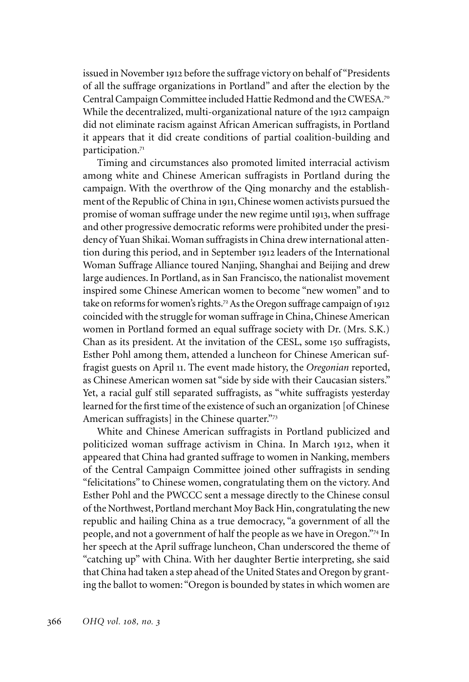issued in November 1912 before the suffrage victory on behalf of "Presidents of all the suffrage organizations in Portland" and after the election by the Central Campaign Committee included Hattie Redmond and the CWESA.<sup>70</sup> While the decentralized, multi-organizational nature of the 1912 campaign did not eliminate racism against African American suffragists, in Portland it appears that it did create conditions of partial coalition-building and participation.<sup>71</sup>

Timing and circumstances also promoted limited interracial activism among white and Chinese American suffragists in Portland during the campaign. With the overthrow of the Qing monarchy and the establishment of the Republic of China in 1911, Chinese women activists pursued the promise of woman suffrage under the new regime until 1913, when suffrage and other progressive democratic reforms were prohibited under the presidency of Yuan Shikai. Woman suffragists in China drew international attention during this period, and in September 1912 leaders of the International Woman Suffrage Alliance toured Nanjing, Shanghai and Beijing and drew large audiences. In Portland, as in San Francisco, the nationalist movement inspired some Chinese American women to become "new women" and to take on reforms for women's rights.<sup>72</sup> As the Oregon suffrage campaign of 1912 coincided with the struggle for woman suffrage in China, Chinese American women in Portland formed an equal suffrage society with Dr. (Mrs. S.K.) Chan as its president. At the invitation of the CESL, some 150 suffragists, Esther Pohl among them, attended a luncheon for Chinese American suffragist guests on April 11. The event made history, the *Oregonian* reported, as Chinese American women sat "side by side with their Caucasian sisters." Yet, a racial gulf still separated suffragists, as "white suffragists yesterday learned for the first time of the existence of such an organization [of Chinese American suffragists] in the Chinese quarter."73

White and Chinese American suffragists in Portland publicized and politicized woman suffrage activism in China. In March 1912, when it appeared that China had granted suffrage to women in Nanking, members of the Central Campaign Committee joined other suffragists in sending "felicitations" to Chinese women, congratulating them on the victory. And Esther Pohl and the PWCCC sent a message directly to the Chinese consul of the Northwest, Portland merchant Moy Back Hin, congratulating the new republic and hailing China as a true democracy, "a government of all the people, and not a government of half the people as we have in Oregon."<sup>74</sup> In her speech at the April suffrage luncheon, Chan underscored the theme of "catching up" with China. With her daughter Bertie interpreting, she said that China had taken a step ahead of the United States and Oregon by granting the ballot to women: "Oregon is bounded by states in which women are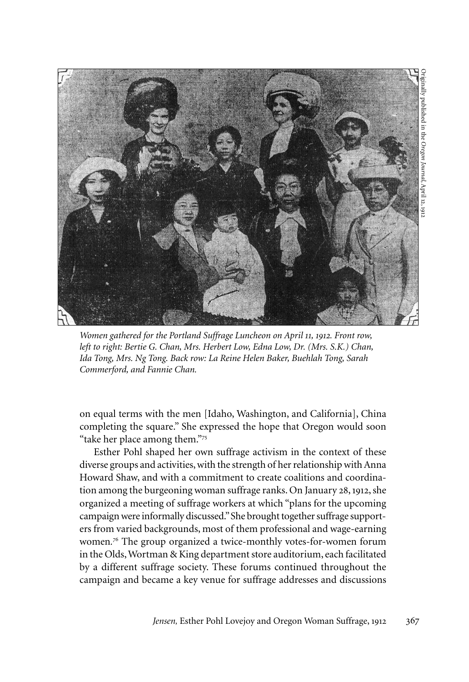

*Women gathered for the Portland Suffrage Luncheon on April 11, 1912. Front row, left to right: Bertie G. Chan, Mrs. Herbert Low, Edna Low, Dr. (Mrs. S.K.) Chan, Ida Tong, Mrs. Ng Tong. Back row: La Reine Helen Baker, Buehlah Tong, Sarah Commerford, and Fannie Chan.* 

on equal terms with the men [Idaho, Washington, and California], China completing the square." She expressed the hope that Oregon would soon "take her place among them."<sup>75</sup>

Esther Pohl shaped her own suffrage activism in the context of these diverse groups and activities, with the strength of her relationship with Anna Howard Shaw, and with a commitment to create coalitions and coordination among the burgeoning woman suffrage ranks. On January 28, 1912, she organized a meeting of suffrage workers at which "plans for the upcoming campaign were informally discussed." She brought together suffrage supporters from varied backgrounds, most of them professional and wage-earning women*.* <sup>76</sup> The group organized a twice-monthly votes-for-women forum in the Olds, Wortman & King department store auditorium, each facilitated by a different suffrage society. These forums continued throughout the campaign and became a key venue for suffrage addresses and discussions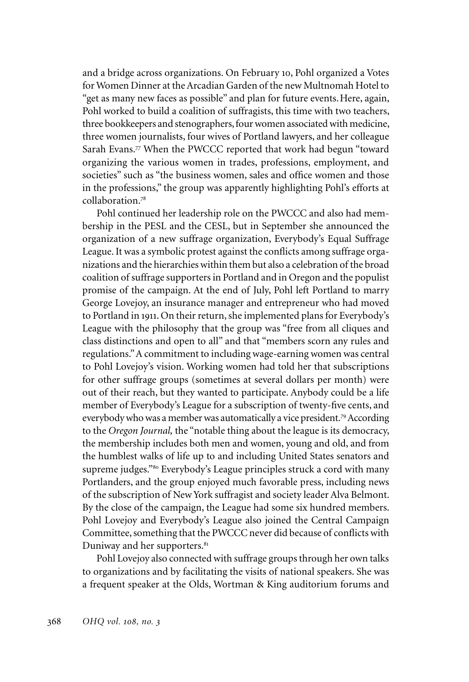and a bridge across organizations. On February 10, Pohl organized a Votes for Women Dinner at the Arcadian Garden of the new Multnomah Hotel to "get as many new faces as possible" and plan for future events.Here, again, Pohl worked to build a coalition of suffragists, this time with two teachers, three bookkeepers and stenographers, four women associated with medicine, three women journalists, four wives of Portland lawyers, and her colleague Sarah Evans.<sup>77</sup> When the PWCCC reported that work had begun "toward organizing the various women in trades, professions, employment, and societies" such as "the business women, sales and office women and those in the professions," the group was apparently highlighting Pohl's efforts at collaboration.<sup>78</sup>

Pohl continued her leadership role on the PWCCC and also had membership in the PESL and the CESL, but in September she announced the organization of a new suffrage organization, Everybody's Equal Suffrage League. It was a symbolic protest against the conflicts among suffrage organizations and the hierarchies within them but also a celebration of the broad coalition of suffrage supporters in Portland and in Oregon and the populist promise of the campaign. At the end of July, Pohl left Portland to marry George Lovejoy, an insurance manager and entrepreneur who had moved to Portland in 1911. On their return, she implemented plans for Everybody's League with the philosophy that the group was "free from all cliques and class distinctions and open to all" and that "members scorn any rules and regulations." A commitment to including wage-earning women was central to Pohl Lovejoy's vision. Working women had told her that subscriptions for other suffrage groups (sometimes at several dollars per month) were out of their reach, but they wanted to participate. Anybody could be a life member of Everybody's League for a subscription of twenty-five cents, and everybody who was a member was automatically a vice president.<sup>79</sup> According to the *Oregon Journal,* the "notable thing about the league is its democracy, the membership includes both men and women, young and old, and from the humblest walks of life up to and including United States senators and supreme judges."<sup>80</sup> Everybody's League principles struck a cord with many Portlanders, and the group enjoyed much favorable press, including news of the subscription of New York suffragist and society leader Alva Belmont. By the close of the campaign, the League had some six hundred members. Pohl Lovejoy and Everybody's League also joined the Central Campaign Committee, something that the PWCCC never did because of conflicts with Duniway and her supporters.<sup>81</sup>

Pohl Lovejoy also connected with suffrage groups through her own talks to organizations and by facilitating the visits of national speakers. She was a frequent speaker at the Olds, Wortman & King auditorium forums and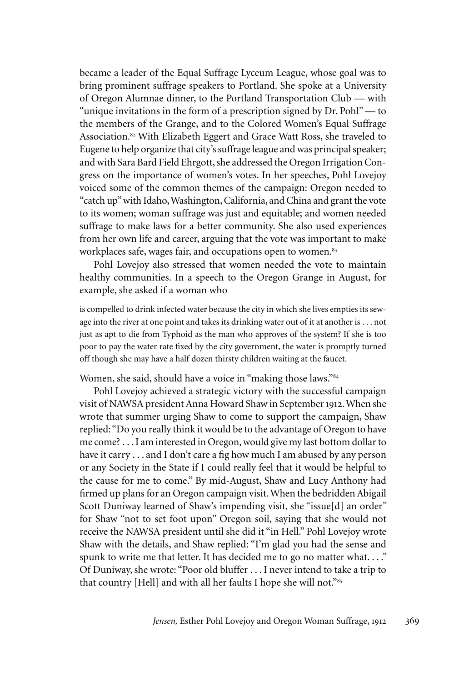became a leader of the Equal Suffrage Lyceum League, whose goal was to bring prominent suffrage speakers to Portland. She spoke at a University of Oregon Alumnae dinner, to the Portland Transportation Club — with "unique invitations in the form of a prescription signed by Dr. Pohl" — to the members of the Grange, and to the Colored Women's Equal Suffrage Association.<sup>82</sup> With Elizabeth Eggert and Grace Watt Ross, she traveled to Eugene to help organize that city's suffrage league and was principal speaker; and with Sara Bard Field Ehrgott, she addressed the Oregon Irrigation Congress on the importance of women's votes. In her speeches, Pohl Lovejoy voiced some of the common themes of the campaign: Oregon needed to "catch up" with Idaho, Washington, California, and China and grant the vote to its women; woman suffrage was just and equitable; and women needed suffrage to make laws for a better community. She also used experiences from her own life and career, arguing that the vote was important to make workplaces safe, wages fair, and occupations open to women.<sup>83</sup>

Pohl Lovejoy also stressed that women needed the vote to maintain healthy communities. In a speech to the Oregon Grange in August, for example, she asked if a woman who

is compelled to drink infected water because the city in which she lives empties its sewage into the river at one point and takes its drinking water out of it at another is . . . not just as apt to die from Typhoid as the man who approves of the system? If she is too poor to pay the water rate fixed by the city government, the water is promptly turned off though she may have a half dozen thirsty children waiting at the faucet.

Women, she said, should have a voice in "making those laws."<sup>84</sup>

Pohl Lovejoy achieved a strategic victory with the successful campaign visit of NAWSA president Anna Howard Shaw in September 1912. When she wrote that summer urging Shaw to come to support the campaign, Shaw replied: "Do you really think it would be to the advantage of Oregon to have me come? . . . I am interested in Oregon, would give my last bottom dollar to have it carry . . . and I don't care a fig how much I am abused by any person or any Society in the State if I could really feel that it would be helpful to the cause for me to come." By mid-August, Shaw and Lucy Anthony had firmed up plans for an Oregon campaign visit. When the bedridden Abigail Scott Duniway learned of Shaw's impending visit, she "issue[d] an order" for Shaw "not to set foot upon" Oregon soil, saying that she would not receive the NAWSA president until she did it "in Hell." Pohl Lovejoy wrote Shaw with the details, and Shaw replied: "I'm glad you had the sense and spunk to write me that letter. It has decided me to go no matter what...." Of Duniway, she wrote: "Poor old bluffer . . . I never intend to take a trip to that country [Hell] and with all her faults I hope she will not."85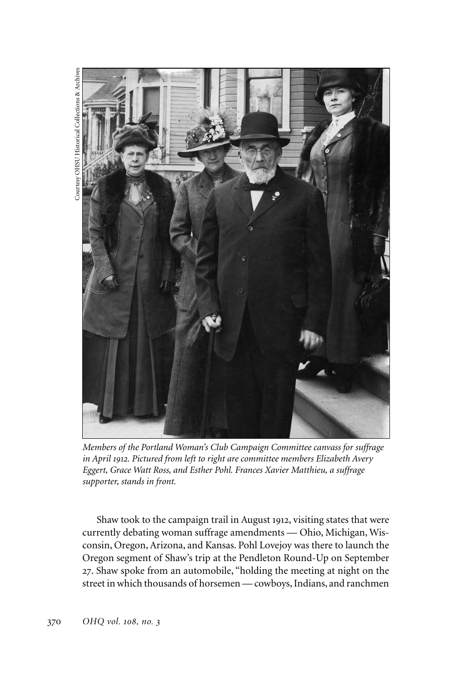

*Members of the Portland Woman's Club Campaign Committee canvass for suffrage in April 1912. Pictured from left to right are committee members Elizabeth Avery Eggert, Grace Watt Ross, and Esther Pohl. Frances Xavier Matthieu, a suffrage supporter, stands in front.*

Shaw took to the campaign trail in August 1912, visiting states that were currently debating woman suffrage amendments — Ohio, Michigan, Wisconsin, Oregon, Arizona, and Kansas. Pohl Lovejoy was there to launch the Oregon segment of Shaw's trip at the Pendleton Round-Up on September 27. Shaw spoke from an automobile, "holding the meeting at night on the street in which thousands of horsemen — cowboys, Indians, and ranchmen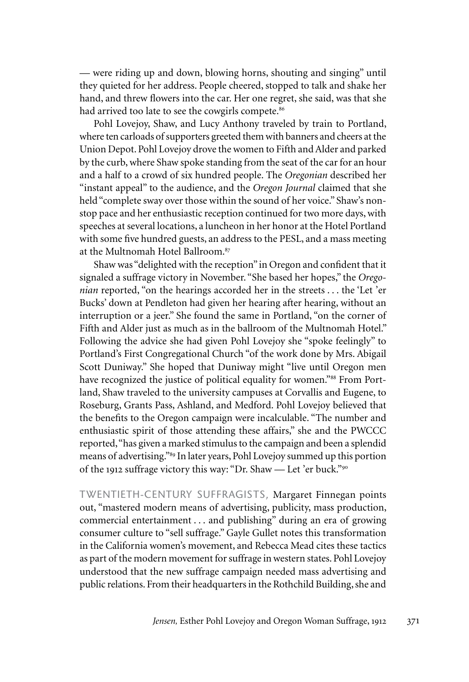— were riding up and down, blowing horns, shouting and singing" until they quieted for her address. People cheered, stopped to talk and shake her hand, and threw flowers into the car. Her one regret, she said, was that she had arrived too late to see the cowgirls compete.<sup>86</sup>

Pohl Lovejoy, Shaw, and Lucy Anthony traveled by train to Portland, where ten carloads of supporters greeted them with banners and cheers at the Union Depot. Pohl Lovejoy drove the women to Fifth and Alder and parked by the curb, where Shaw spoke standing from the seat of the car for an hour and a half to a crowd of six hundred people. The *Oregonian* described her "instant appeal" to the audience, and the *Oregon Journal* claimed that she held "complete sway over those within the sound of her voice." Shaw's nonstop pace and her enthusiastic reception continued for two more days, with speeches at several locations, a luncheon in her honor at the Hotel Portland with some five hundred guests, an address to the PESL, and a mass meeting at the Multnomah Hotel Ballroom.<sup>87</sup>

Shaw was "delighted with the reception" in Oregon and confident that it signaled a suffrage victory in November. "She based her hopes," the *Oregonian* reported, "on the hearings accorded her in the streets . . . the 'Let 'er Bucks' down at Pendleton had given her hearing after hearing, without an interruption or a jeer." She found the same in Portland, "on the corner of Fifth and Alder just as much as in the ballroom of the Multnomah Hotel." Following the advice she had given Pohl Lovejoy she "spoke feelingly" to Portland's First Congregational Church "of the work done by Mrs. Abigail Scott Duniway." She hoped that Duniway might "live until Oregon men have recognized the justice of political equality for women."<sup>88</sup> From Portland, Shaw traveled to the university campuses at Corvallis and Eugene, to Roseburg, Grants Pass, Ashland, and Medford. Pohl Lovejoy believed that the benefits to the Oregon campaign were incalculable. "The number and enthusiastic spirit of those attending these affairs," she and the PWCCC reported, "has given a marked stimulus to the campaign and been a splendid means of advertising."<sup>89</sup> In later years, Pohl Lovejoy summed up this portion of the 1912 suffrage victory this way: "Dr. Shaw — Let 'er buck."<sup>90</sup>

TWENTIETH-CENTURY SUFFRAGISTS, Margaret Finnegan points out, "mastered modern means of advertising, publicity, mass production, commercial entertainment . . . and publishing" during an era of growing consumer culture to "sell suffrage." Gayle Gullet notes this transformation in the California women's movement, and Rebecca Mead cites these tactics as part of the modern movement for suffrage in western states. Pohl Lovejoy understood that the new suffrage campaign needed mass advertising and public relations. From their headquarters in the Rothchild Building, she and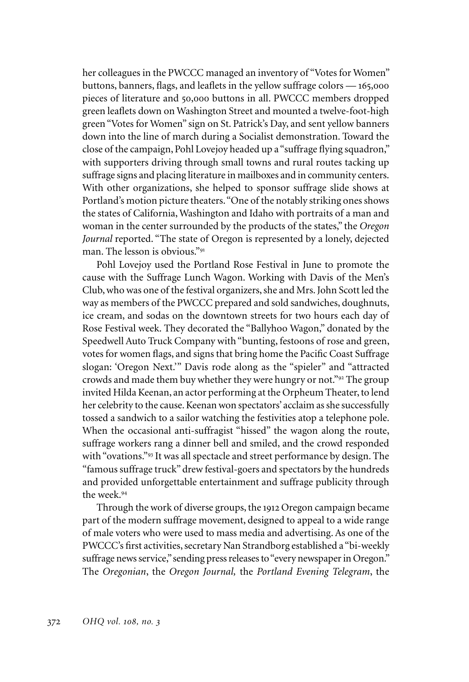her colleagues in the PWCCC managed an inventory of "Votes for Women" buttons, banners, flags, and leaflets in the yellow suffrage colors — 165,000 pieces of literature and 50,000 buttons in all. PWCCC members dropped green leaflets down on Washington Street and mounted a twelve-foot-high green "Votes for Women" sign on St. Patrick's Day, and sent yellow banners down into the line of march during a Socialist demonstration. Toward the close of the campaign, Pohl Lovejoy headed up a "suffrage flying squadron," with supporters driving through small towns and rural routes tacking up suffrage signs and placing literature in mailboxes and in community centers. With other organizations, she helped to sponsor suffrage slide shows at Portland's motion picture theaters. "One of the notably striking ones shows the states of California, Washington and Idaho with portraits of a man and woman in the center surrounded by the products of the states," the *Oregon Journal* reported. "The state of Oregon is represented by a lonely, dejected man. The lesson is obvious."<sup>91</sup>

Pohl Lovejoy used the Portland Rose Festival in June to promote the cause with the Suffrage Lunch Wagon. Working with Davis of the Men's Club, who was one of the festival organizers, she and Mrs. John Scott led the way as members of the PWCCC prepared and sold sandwiches, doughnuts, ice cream, and sodas on the downtown streets for two hours each day of Rose Festival week. They decorated the "Ballyhoo Wagon," donated by the Speedwell Auto Truck Company with "bunting, festoons of rose and green, votes for women flags, and signs that bring home the Pacific Coast Suffrage slogan: 'Oregon Next.'" Davis rode along as the "spieler" and "attracted crowds and made them buy whether they were hungry or not."<sup>92</sup> The group invited Hilda Keenan, an actor performing at the Orpheum Theater, to lend her celebrity to the cause. Keenan won spectators' acclaim as she successfully tossed a sandwich to a sailor watching the festivities atop a telephone pole. When the occasional anti-suffragist "hissed" the wagon along the route, suffrage workers rang a dinner bell and smiled, and the crowd responded with "ovations."<sup>93</sup> It was all spectacle and street performance by design. The "famous suffrage truck" drew festival-goers and spectators by the hundreds and provided unforgettable entertainment and suffrage publicity through the week.<sup>94</sup>

Through the work of diverse groups, the 1912 Oregon campaign became part of the modern suffrage movement, designed to appeal to a wide range of male voters who were used to mass media and advertising. As one of the PWCCC's first activities, secretary Nan Strandborg established a "bi-weekly suffrage news service," sending press releases to "every newspaper in Oregon." The *Oregonian*, the *Oregon Journal,* the *Portland Evening Telegram*, the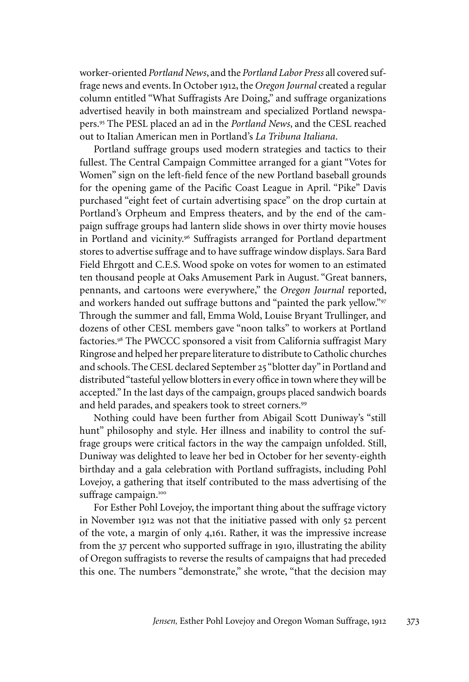worker-oriented *Portland News*, and the *Portland Labor Press* all covered suffrage news and events. In October 1912, the *Oregon Journal* created a regular column entitled "What Suffragists Are Doing," and suffrage organizations advertised heavily in both mainstream and specialized Portland newspapers.<sup>95</sup> The PESL placed an ad in the *Portland News*, and the CESL reached out to Italian American men in Portland's *La Tribuna Italiana*.

Portland suffrage groups used modern strategies and tactics to their fullest. The Central Campaign Committee arranged for a giant "Votes for Women" sign on the left-field fence of the new Portland baseball grounds for the opening game of the Pacific Coast League in April. "Pike" Davis purchased "eight feet of curtain advertising space" on the drop curtain at Portland's Orpheum and Empress theaters, and by the end of the campaign suffrage groups had lantern slide shows in over thirty movie houses in Portland and vicinity.<sup>96</sup> Suffragists arranged for Portland department stores to advertise suffrage and to have suffrage window displays. Sara Bard Field Ehrgott and C.E.S. Wood spoke on votes for women to an estimated ten thousand people at Oaks Amusement Park in August. "Great banners, pennants, and cartoons were everywhere," the *Oregon Journal* reported, and workers handed out suffrage buttons and "painted the park yellow."<sup>97</sup> Through the summer and fall, Emma Wold, Louise Bryant Trullinger, and dozens of other CESL members gave "noon talks" to workers at Portland factories.<sup>98</sup> The PWCCC sponsored a visit from California suffragist Mary Ringrose and helped her prepare literature to distribute to Catholic churches and schools. The CESL declared September 25 "blotter day" in Portland and distributed "tasteful yellow blotters in every office in town where they will be accepted." In the last days of the campaign, groups placed sandwich boards and held parades, and speakers took to street corners.<sup>99</sup>

Nothing could have been further from Abigail Scott Duniway's "still hunt" philosophy and style. Her illness and inability to control the suffrage groups were critical factors in the way the campaign unfolded. Still, Duniway was delighted to leave her bed in October for her seventy-eighth birthday and a gala celebration with Portland suffragists, including Pohl Lovejoy, a gathering that itself contributed to the mass advertising of the suffrage campaign.<sup>100</sup>

For Esther Pohl Lovejoy, the important thing about the suffrage victory in November 1912 was not that the initiative passed with only 52 percent of the vote, a margin of only 4,161. Rather, it was the impressive increase from the 37 percent who supported suffrage in 1910, illustrating the ability of Oregon suffragists to reverse the results of campaigns that had preceded this one. The numbers "demonstrate," she wrote, "that the decision may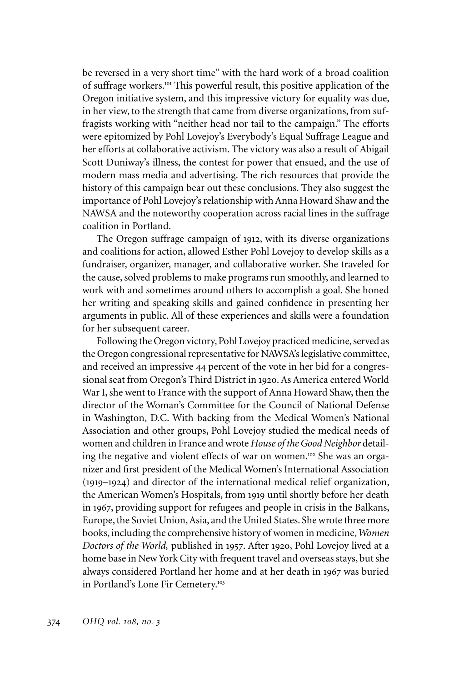be reversed in a very short time" with the hard work of a broad coalition of suffrage workers.<sup>101</sup> This powerful result, this positive application of the Oregon initiative system, and this impressive victory for equality was due, in her view, to the strength that came from diverse organizations, from suffragists working with "neither head nor tail to the campaign." The efforts were epitomized by Pohl Lovejoy's Everybody's Equal Suffrage League and her efforts at collaborative activism. The victory was also a result of Abigail Scott Duniway's illness, the contest for power that ensued, and the use of modern mass media and advertising. The rich resources that provide the history of this campaign bear out these conclusions. They also suggest the importance of Pohl Lovejoy's relationship with Anna Howard Shaw and the NAWSA and the noteworthy cooperation across racial lines in the suffrage coalition in Portland.

The Oregon suffrage campaign of 1912, with its diverse organizations and coalitions for action, allowed Esther Pohl Lovejoy to develop skills as a fundraiser, organizer, manager, and collaborative worker. She traveled for the cause, solved problems to make programs run smoothly, and learned to work with and sometimes around others to accomplish a goal. She honed her writing and speaking skills and gained confidence in presenting her arguments in public. All of these experiences and skills were a foundation for her subsequent career.

Following the Oregon victory, Pohl Lovejoy practiced medicine, served as the Oregon congressional representative for NAWSA's legislative committee, and received an impressive 44 percent of the vote in her bid for a congressional seat from Oregon's Third District in 1920. As America entered World War I, she went to France with the support of Anna Howard Shaw, then the director of the Woman's Committee for the Council of National Defense in Washington, D.C. With backing from the Medical Women's National Association and other groups, Pohl Lovejoy studied the medical needs of women and children in France and wrote *House of the Good Neighbor* detailing the negative and violent effects of war on women.<sup>102</sup> She was an organizer and first president of the Medical Women's International Association (1919–1924) and director of the international medical relief organization, the American Women's Hospitals, from 1919 until shortly before her death in 1967, providing support for refugees and people in crisis in the Balkans, Europe, the Soviet Union, Asia, and the United States. She wrote three more books, including the comprehensive history of women in medicine, *Women Doctors of the World,* published in 1957. After 1920, Pohl Lovejoy lived at a home base in New York City with frequent travel and overseas stays, but she always considered Portland her home and at her death in 1967 was buried in Portland's Lone Fir Cemetery.<sup>103</sup>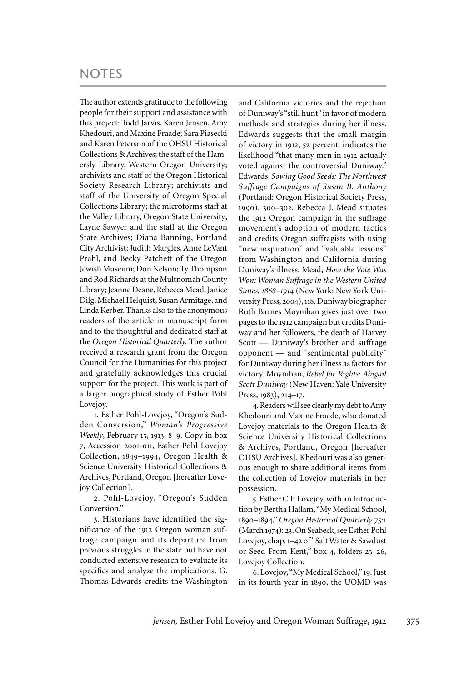## **NOTES**

The author extends gratitude to the following people for their support and assistance with this project: Todd Jarvis, Karen Jensen, Amy Khedouri, and Maxine Fraade; Sara Piasecki and Karen Peterson of the OHSU Historical Collections & Archives; the staff of the Hamersly Library, Western Oregon University; archivists and staff of the Oregon Historical Society Research Library; archivists and staff of the University of Oregon Special Collections Library; the microforms staff at the Valley Library, Oregon State University; Layne Sawyer and the staff at the Oregon State Archives; Diana Banning, Portland City Archivist; Judith Margles, Anne LeVant Prahl, and Becky Patchett of the Oregon Jewish Museum; Don Nelson; Ty Thompson and Rod Richards at the Multnomah County Library; Jeanne Deane, Rebecca Mead, Janice Dilg, Michael Helquist, Susan Armitage, and Linda Kerber. Thanks also to the anonymous readers of the article in manuscript form and to the thoughtful and dedicated staff at the *Oregon Historical Quarterly.* The author received a research grant from the Oregon Council for the Humanities for this project and gratefully acknowledges this crucial support for the project. This work is part of a larger biographical study of Esther Pohl Lovejoy.

1. Esther Pohl-Lovejoy, "Oregon's Sudden Conversion," *Woman's Progressive Weekly*, February 15, 1913, 8–9. Copy in box 7, Accession 2001-011, Esther Pohl Lovejoy Collection, 1849–1994, Oregon Health & Science University Historical Collections & Archives, Portland, Oregon [hereafter Lovejoy Collection].

2. Pohl-Lovejoy, "Oregon's Sudden Conversion."

3. Historians have identified the significance of the 1912 Oregon woman suffrage campaign and its departure from previous struggles in the state but have not conducted extensive research to evaluate its specifics and analyze the implications. G. Thomas Edwards credits the Washington

and California victories and the rejection of Duniway's "still hunt" in favor of modern methods and strategies during her illness. Edwards suggests that the small margin of victory in 1912, 52 percent, indicates the likelihood "that many men in 1912 actually voted against the controversial Duniway." Edwards, *Sowing Good Seeds: The Northwest Suffrage Campaigns of Susan B. Anthony*  (Portland: Oregon Historical Society Press, 1990), 300–302. Rebecca J. Mead situates the 1912 Oregon campaign in the suffrage movement's adoption of modern tactics and credits Oregon suffragists with using "new inspiration" and "valuable lessons" from Washington and California during Duniway's illness. Mead, *How the Vote Was Won: Woman Suffrage in the Western United States, 1868–1914* (New York: New York University Press, 2004), 118. Duniway biographer Ruth Barnes Moynihan gives just over two pages to the 1912 campaign but credits Duniway and her followers, the death of Harvey Scott — Duniway's brother and suffrage opponent — and "sentimental publicity" for Duniway during her illness as factors for victory. Moynihan, *Rebel for Rights: Abigail Scott Duniway* (New Haven: Yale University Press, 1983), 214–17.

4. Readers will see clearly my debt to Amy Khedouri and Maxine Fraade, who donated Lovejoy materials to the Oregon Health & Science University Historical Collections & Archives, Portland, Oregon [hereafter OHSU Archives]. Khedouri was also generous enough to share additional items from the collection of Lovejoy materials in her possession.

5. Esther C.P. Lovejoy, with an Introduction by Bertha Hallam, "My Medical School, 1890–1894," *Oregon Historical Quarterly* 75:1 (March 1974): 23. On Seabeck, see Esther Pohl Lovejoy, chap. 1–42 of "Salt Water & Sawdust or Seed From Kent," box 4, folders 23–26, Lovejoy Collection.

6. Lovejoy, "My Medical School," 19. Just in its fourth year in 1890, the UOMD was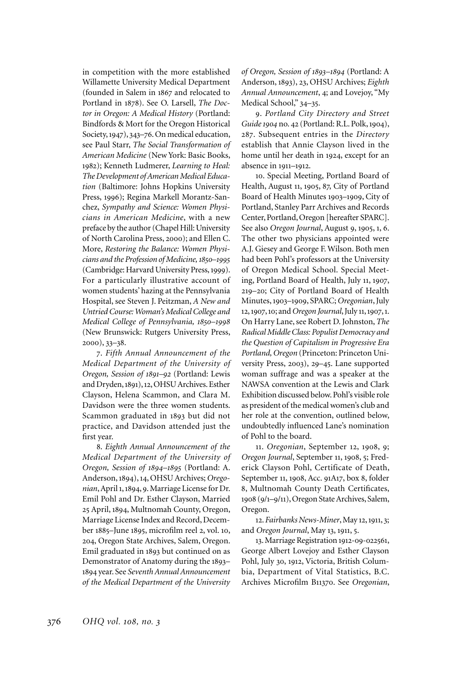in competition with the more established Willamette University Medical Department (founded in Salem in 1867 and relocated to Portland in 1878). See O. Larsell, *The Doctor in Oregon: A Medical History* (Portland: Bindfords & Mort for the Oregon Historical Society, 1947), 343–76. On medical education, see Paul Starr, *The Social Transformation of American Medicine* (New York: Basic Books, 1982); Kenneth Ludmerer, *Learning to Heal: The Development of American Medical Education* (Baltimore: Johns Hopkins University Press, 1996); Regina Markell Morantz-Sanchez, *Sympathy and Science: Women Physicians in American Medicine*, with a new preface by the author (Chapel Hill: University of North Carolina Press, 2000); and Ellen C. More, *Restoring the Balance: Women Physicians and the Profession of Medicine, 1850–1995* (Cambridge: Harvard University Press, 1999). For a particularly illustrative account of women students' hazing at the Pennsylvania Hospital, see Steven J. Peitzman, *A New and Untried Course: Woman's Medical College and Medical College of Pennsylvania, 1850–1998* (New Brunswick: Rutgers University Press, 2000), 33–38.

7. *Fifth Annual Announcement of the Medical Department of the University of Oregon, Session of 1891–92* (Portland: Lewis and Dryden, 1891), 12, OHSU Archives. Esther Clayson, Helena Scammon, and Clara M. Davidson were the three women students. Scammon graduated in 1893 but did not practice, and Davidson attended just the first year.

8. *Eighth Annual Announcement of the Medical Department of the University of Oregon, Session of 1894–1895* (Portland: A. Anderson, 1894), 14, OHSU Archives; *Oregonian*, April 1, 1894, 9. Marriage License for Dr. Emil Pohl and Dr. Esther Clayson, Married 25 April, 1894, Multnomah County, Oregon, Marriage License Index and Record, December 1885–June 1895, microfilm reel 2, vol. 10, 204, Oregon State Archives, Salem, Oregon. Emil graduated in 1893 but continued on as Demonstrator of Anatomy during the 1893– 1894 year. See *Seventh Annual Announcement of the Medical Department of the University* 

*of Oregon, Session of 1893–1894* (Portland: A Anderson, 1893), 23, OHSU Archives; *Eighth Annual Announcement*, 4; and Lovejoy, "My Medical School," 34–35.

9. *Portland City Directory and Street Guide 1904* no. 42 (Portland: R.L. Polk, 1904), 287. Subsequent entries in the *Directory* establish that Annie Clayson lived in the home until her death in 1924, except for an absence in 1911–1912.

10. Special Meeting, Portland Board of Health, August 11, 1905, 87, City of Portland Board of Health Minutes 1903–1909, City of Portland, Stanley Parr Archives and Records Center, Portland, Oregon [hereafter SPARC]. See also *Oregon Journal*, August 9, 1905, 1, 6. The other two physicians appointed were A.J. Giesey and George F. Wilson. Both men had been Pohl's professors at the University of Oregon Medical School. Special Meeting, Portland Board of Health, July 11, 1907, 219–20; City of Portland Board of Health Minutes, 1903–1909, SPARC; *Oregonian*, July 12, 1907, 10; and *Oregon Journal*, July 11, 1907, 1. On Harry Lane, see Robert D. Johnston, *The Radical Middle Class: Populist Democracy and the Question of Capitalism in Progressive Era Portland, Oregon* (Princeton: Princeton University Press, 2003), 29–45. Lane supported woman suffrage and was a speaker at the NAWSA convention at the Lewis and Clark Exhibition discussed below. Pohl's visible role as president of the medical women's club and her role at the convention, outlined below, undoubtedly influenced Lane's nomination of Pohl to the board.

11. *Oregonian*, September 12, 1908, 9; *Oregon Journal*, September 11, 1908, 5; Frederick Clayson Pohl, Certificate of Death, September 11, 1908, Acc. 91A17, box 8, folder 8, Multnomah County Death Certificates, 1908 (9/1–9/11), Oregon State Archives, Salem, Oregon.

12. *Fairbanks News-Miner*, May 12, 1911, 3; and *Oregon Journal*, May 13, 1911, 5.

13. Marriage Registration 1912-09-022561, George Albert Lovejoy and Esther Clayson Pohl, July 30, 1912, Victoria, British Columbia, Department of Vital Statistics, B.C. Archives Microfilm B11370. See *Oregonian*,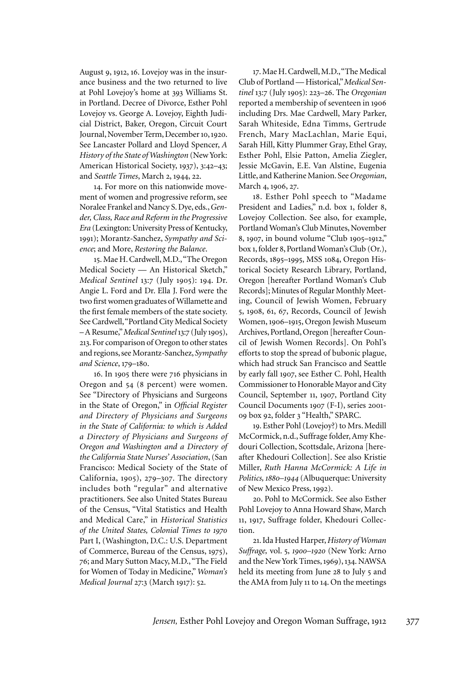August 9, 1912, 16. Lovejoy was in the insurance business and the two returned to live at Pohl Lovejoy's home at 393 Williams St. in Portland. Decree of Divorce, Esther Pohl Lovejoy vs. George A. Lovejoy, Eighth Judicial District, Baker, Oregon, Circuit Court Journal, November Term, December 10, 1920. See Lancaster Pollard and Lloyd Spencer, *A History of the State of Washington* (New York: American Historical Society, 1937), 3:42–43; and *Seattle Times*, March 2, 1944, 22.

14. For more on this nationwide movement of women and progressive reform, see Noralee Frankel and Nancy S. Dye, eds., *Gender, Class, Race and Reform in the Progressive Era* (Lexington: University Press of Kentucky, 1991); Morantz-Sanchez, *Sympathy and Science*; and More, *Restoring the Balance*.

15. Mae H. Cardwell, M.D., "The Oregon Medical Society — An Historical Sketch," *Medical Sentinel* 13:7 (July 1905): 194. Dr. Angie L. Ford and Dr. Ella J. Ford were the two first women graduates of Willamette and the first female members of the state society. See Cardwell, "Portland City Medical Society – A Resume," *Medical Sentinel*13:7 (July 1905), 213. For comparison of Oregon to other states and regions, see Morantz-Sanchez, *Sympathy and Science*, 179–180.

16. In 1905 there were 716 physicians in Oregon and 54 (8 percent) were women. See "Directory of Physicians and Surgeons in the State of Oregon," in *Official Register and Directory of Physicians and Surgeons in the State of California: to which is Added a Directory of Physicians and Surgeons of Oregon and Washington and a Directory of the California State Nurses' Association*, (San Francisco: Medical Society of the State of California, 1905), 279–307. The directory includes both "regular" and alternative practitioners. See also United States Bureau of the Census, "Vital Statistics and Health and Medical Care," in *Historical Statistics of the United States, Colonial Times to 1970* Part I, (Washington, D.C.: U.S. Department of Commerce, Bureau of the Census, 1975), 76; and Mary Sutton Macy, M.D., "The Field for Women of Today in Medicine," *Woman's Medical Journal* 27:3 (March 1917): 52.

17. Mae H. Cardwell, M.D., "The Medical Club of Portland — Historical," *Medical Sentinel* 13:7 (July 1905): 223–26. The *Oregonian* reported a membership of seventeen in 1906 including Drs. Mae Cardwell, Mary Parker, Sarah Whiteside, Edna Timms, Gertrude French, Mary MacLachlan, Marie Equi, Sarah Hill, Kitty Plummer Gray, Ethel Gray, Esther Pohl, Elsie Patton, Amelia Ziegler, Jessie McGavin, E.E. Van Alstine, Eugenia Little, and Katherine Manion. See *Oregonian*, March 4, 1906, 27.

18. Esther Pohl speech to "Madame President and Ladies," n.d. box 1, folder 8, Lovejoy Collection. See also, for example, Portland Woman's Club Minutes, November 8, 1907, in bound volume "Club 1905–1912," box 1, folder 8, Portland Woman's Club (Or.), Records, 1895–1995, MSS 1084, Oregon Historical Society Research Library, Portland, Oregon [hereafter Portland Woman's Club Records]; Minutes of Regular Monthly Meeting, Council of Jewish Women, February 5, 1908, 61, 67, Records, Council of Jewish Women, 1906–1915, Oregon Jewish Museum Archives, Portland, Oregon [hereafter Council of Jewish Women Records]. On Pohl's efforts to stop the spread of bubonic plague, which had struck San Francisco and Seattle by early fall 1907, see Esther C. Pohl, Health Commissioner to Honorable Mayor and City Council, September 11, 1907, Portland City Council Documents 1907 (F-I), series 2001- 09 box 92, folder 3 "Health," SPARC.

19. Esther Pohl (Lovejoy?) to Mrs. Medill McCormick, n.d., Suffrage folder, Amy Khedouri Collection, Scottsdale, Arizona [hereafter Khedouri Collection]. See also Kristie Miller, *Ruth Hanna McCormick: A Life in Politics, 1880–1944* (Albuquerque: University of New Mexico Press, 1992).

20. Pohl to McCormick. See also Esther Pohl Lovejoy to Anna Howard Shaw, March 11, 1917, Suffrage folder, Khedouri Collection.

21. Ida Husted Harper, *History of Woman Suffrage,* vol. 5, *1900–1920* (New York: Arno and the New York Times, 1969), 134. NAWSA held its meeting from June 28 to July 5 and the AMA from July 11 to 14. On the meetings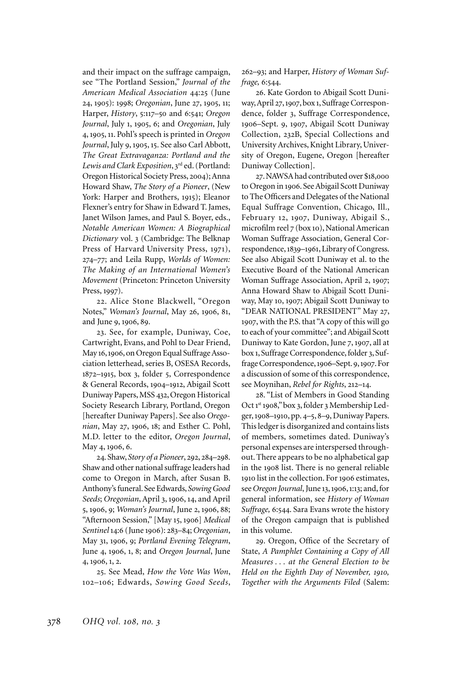and their impact on the suffrage campaign, see "The Portland Session," *Journal of the American Medical Association* 44:25 (June 24, 1905): 1998; *Oregonian*, June 27, 1905, 11; Harper, *History*, 5:117–50 and 6:541; *Oregon Journal*, July 1, 1905, 6; and *Oregonian*, July 4, 1905, 11. Pohl's speech is printed in *Oregon Journal*, July 9, 1905, 15. See also Carl Abbott, *The Great Extravaganza: Portland and the Lewis and Clark Exposition*, 3rd ed. (Portland: Oregon Historical Society Press, 2004); Anna Howard Shaw, *The Story of a Pioneer*, (New York: Harper and Brothers, 1915); Eleanor Flexner's entry for Shaw in Edward T. James, Janet Wilson James, and Paul S. Boyer, eds., *Notable American Women: A Biographical Dictionary* vol. 3 (Cambridge: The Belknap Press of Harvard University Press, 1971), 274–77; and Leila Rupp, *Worlds of Women: The Making of an International Women's Movement* (Princeton: Princeton University Press, 1997).

22. Alice Stone Blackwell, "Oregon Notes," *Woman's Journal*, May 26, 1906, 81, and June 9, 1906, 89.

23. See, for example, Duniway, Coe, Cartwright, Evans, and Pohl to Dear Friend, May 16, 1906, on Oregon Equal Suffrage Association letterhead, series B, OSESA Records, 1872–1915, box 3, folder 5, Correspondence & General Records, 1904–1912, Abigail Scott Duniway Papers, MSS 432, Oregon Historical Society Research Library, Portland, Oregon [hereafter Duniway Papers]. See also *Oregonian*, May 27, 1906, 18; and Esther C. Pohl, M.D. letter to the editor, *Oregon Journal*, May 4, 1906, 6.

24. Shaw, *Story of a Pioneer*, 292, 284–298. Shaw and other national suffrage leaders had come to Oregon in March, after Susan B. Anthony's funeral. See Edwards, *Sowing Good Seeds*; *Oregonian*, April 3, 1906, 14, and April 5, 1906, 9; *Woman's Journal*, June 2, 1906, 88; "Afternoon Session," [May 15, 1906] *Medical Sentinel* 14:6 (June 1906): 283–84; *Oregonian*, May 31, 1906, 9; *Portland Evening Telegram*, June 4, 1906, 1, 8; and *Oregon Journal*, June 4, 1906, 1, 2.

25. See Mead, *How the Vote Was Won*, 102–106; Edwards, *Sowing Good Seeds*,

262–93; and Harper, *History of Woman Suffrage,* 6:544.

26. Kate Gordon to Abigail Scott Duniway, April 27, 1907, box 1, Suffrage Correspondence, folder 3, Suffrage Correspondence, 1906–Sept. 9, 1907, Abigail Scott Duniway Collection, 232B, Special Collections and University Archives, Knight Library, University of Oregon, Eugene, Oregon [hereafter Duniway Collection].

27. NAWSA had contributed over \$18,000 to Oregon in 1906. See Abigail Scott Duniway to The Officers and Delegates of the National Equal Suffrage Convention, Chicago, Ill., February 12, 1907, Duniway, Abigail S., microfilm reel 7 (box 10), National American Woman Suffrage Association, General Correspondence, 1839–1961, Library of Congress. See also Abigail Scott Duniway et al. to the Executive Board of the National American Woman Suffrage Association, April 2, 1907; Anna Howard Shaw to Abigail Scott Duniway, May 10, 1907; Abigail Scott Duniway to "DEAR NATIONAL PRESIDENT" May 27, 1907, with the P.S. that "A copy of this will go to each of your committee"; and Abigail Scott Duniway to Kate Gordon, June 7, 1907, all at box 1, Suffrage Correspondence, folder 3, Suffrage Correspondence, 1906–Sept. 9, 1907. For a discussion of some of this correspondence, see Moynihan, *Rebel for Rights*, 212–14.

28. "List of Members in Good Standing Oct 1st 1908," box 3, folder 3 Membership Ledger, 1908–1910, pp. 4–5, 8–9, Duniway Papers. This ledger is disorganized and contains lists of members, sometimes dated. Duniway's personal expenses are interspersed throughout. There appears to be no alphabetical gap in the 1908 list. There is no general reliable 1910 list in the collection. For 1906 estimates, see *Oregon Journal*,June 13, 1906, 1:13; and, for general information, see *History of Woman Suffrage,* 6:544. Sara Evans wrote the history of the Oregon campaign that is published in this volume.

29. Oregon, Office of the Secretary of State, *A Pamphlet Containing a Copy of All Measures . . . at the General Election to be Held on the Eighth Day of November, 1910, Together with the Arguments Filed* (Salem: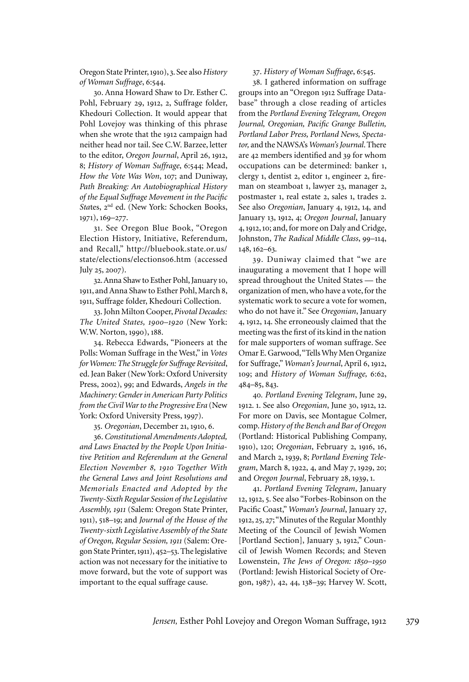Oregon State Printer, 1910), 3. See also *History of Woman Suffrage*, 6:544.

30. Anna Howard Shaw to Dr. Esther C. Pohl, February 29, 1912, 2, Suffrage folder, Khedouri Collection. It would appear that Pohl Lovejoy was thinking of this phrase when she wrote that the 1912 campaign had neither head nor tail. See C.W. Barzee, letter to the editor, *Oregon Journal*, April 26, 1912, 8; *History of Woman Suffrage*, 6:544; Mead, *How the Vote Was Won*, 107; and Duniway, *Path Breaking: An Autobiographical History of the Equal Suffrage Movement in the Pacific*  States, 2<sup>nd</sup> ed. (New York: Schocken Books, 1971), 169–277.

31. See Oregon Blue Book, "Oregon Election History, Initiative, Referendum, and Recall," http://bluebook.state.or.us/ state/elections/elections06.htm (accessed July 25, 2007).

32. Anna Shaw to Esther Pohl, January 10, 1911, and Anna Shaw to Esther Pohl, March 8, 1911, Suffrage folder, Khedouri Collection.

33. John Milton Cooper, *Pivotal Decades: The United States, 1900–1920* (New York: W.W. Norton, 1990), 188.

34. Rebecca Edwards, "Pioneers at the Polls: Woman Suffrage in the West," in *Votes for Women: The Struggle for Suffrage Revisited*, ed. Jean Baker (New York: Oxford University Press, 2002), 99; and Edwards, *Angels in the Machinery: Gender in American Party Politics from the Civil War to the Progressive Era* (New York: Oxford University Press, 1997).

35. *Oregonian*, December 21, 1910, 6.

36. *Constitutional Amendments Adopted, and Laws Enacted by the People Upon Initiative Petition and Referendum at the General Election November 8, 1910 Together With the General Laws and Joint Resolutions and Memorials Enacted and Adopted by the Twenty-Sixth Regular Session of the Legislative Assembly, 1911* (Salem: Oregon State Printer, 1911), 518–19; and *Journal of the House of the Twenty-sixth Legislative Assembly of the State of Oregon, Regular Session, 1911* (Salem: Oregon State Printer, 1911), 452–53. The legislative action was not necessary for the initiative to move forward, but the vote of support was important to the equal suffrage cause.

## 37. *History of Woman Suffrage*, 6:545.

38. I gathered information on suffrage groups into an "Oregon 1912 Suffrage Database" through a close reading of articles from the *Portland Evening Telegram, Oregon Journal, Oregonian, Pacific Grange Bulletin, Portland Labor Press, Portland News, Spectator,* and the NAWSA's *Woman's Journal*. There are 42 members identified and 39 for whom occupations can be determined: banker 1, clergy 1, dentist 2, editor 1, engineer 2, fireman on steamboat 1, lawyer 23, manager 2, postmaster 1, real estate 2, sales 1, trades 2. See also *Oregonian*, January 4, 1912, 14, and January 13, 1912, 4; *Oregon Journal*, January 4, 1912, 10; and, for more on Daly and Cridge, Johnston, *The Radical Middle Class*, 99–114, 148, 162–63.

39. Duniway claimed that "we are inaugurating a movement that I hope will spread throughout the United States — the organization of men, who have a vote, for the systematic work to secure a vote for women, who do not have it." See *Oregonian*, January 4, 1912, 14. She erroneously claimed that the meeting was the first of its kind in the nation for male supporters of woman suffrage. See Omar E. Garwood, "Tells Why Men Organize for Suffrage," *Woman's Journal*, April 6, 1912, 109; and *History of Woman Suffrage,* 6:62, 484–85, 843.

40*. Portland Evening Telegram*, June 29, 1912. 1. See also *Oregonian*, June 30, 1912, 12. For more on Davis, see Montague Colmer, comp. *History of the Bench and Bar of Oregon*  (Portland: Historical Publishing Company, 1910), 120; *Oregonian*, February 2, 1916, 16, and March 2, 1939, 8; *Portland Evening Telegram*, March 8, 1922, 4, and May 7, 1929, 20; and *Oregon Journal*, February 28, 1939, 1.

41. *Portland Evening Telegram*, January 12, 1912, 5. See also "Forbes-Robinson on the Pacific Coast," *Woman's Journal*, January 27, 1912, 25, 27; "Minutes of the Regular Monthly Meeting of the Council of Jewish Women [Portland Section], January 3, 1912," Council of Jewish Women Records; and Steven Lowenstein, *The Jews of Oregon: 1850–1950* (Portland: Jewish Historical Society of Oregon, 1987), 42, 44, 138–39; Harvey W. Scott,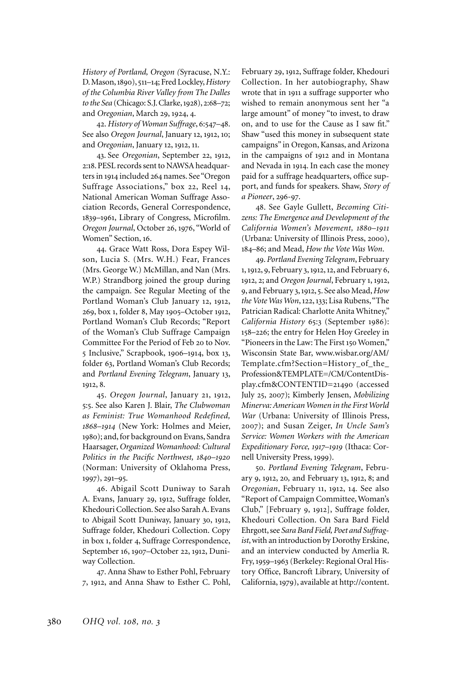*History of Portland, Oregon (*Syracuse, N.Y.: D. Mason, 1890), 511–14; Fred Lockley, *History of the Columbia River Valley from The Dalles to the Sea* (Chicago: S.J. Clarke, 1928), 2:68–72; and *Oregonian*, March 29, 1924, 4.

42. *History of Woman Suffrage*, 6:547–48. See also *Oregon Journal*, January 12, 1912, 10; and *Oregonian*, January 12, 1912, 11.

43. See *Oregonian*, September 22, 1912, 2:18. PESL records sent to NAWSA headquarters in 1914 included 264 names. See "Oregon Suffrage Associations," box 22, Reel 14, National American Woman Suffrage Association Records, General Correspondence, 1839–1961, Library of Congress, Microfilm. *Oregon Journal*, October 26, 1976, "World of Women" Section, 16.

44. Grace Watt Ross, Dora Espey Wilson, Lucia S. (Mrs. W.H.) Fear, Frances (Mrs. George W.) McMillan, and Nan (Mrs. W.P.) Strandborg joined the group during the campaign. See Regular Meeting of the Portland Woman's Club January 12, 1912, 269, box 1, folder 8, May 1905–October 1912, Portland Woman's Club Records; "Report of the Woman's Club Suffrage Campaign Committee For the Period of Feb 20 to Nov. 5 Inclusive," Scrapbook, 1906–1914, box 13, folder 63, Portland Woman's Club Records; and *Portland Evening Telegram*, January 13, 1912, 8.

45. *Oregon Journal*, January 21, 1912, 5:5. See also Karen J. Blair, *The Clubwoman as Feminist: True Womanhood Redefined, 1868–1914* (New York: Holmes and Meier, 1980); and, for background on Evans, Sandra Haarsager, *Organized Womanhood: Cultural Politics in the Pacific Northwest, 1840–1920* (Norman: University of Oklahoma Press, 1997), 291–95.

46. Abigail Scott Duniway to Sarah A. Evans, January 29, 1912, Suffrage folder, Khedouri Collection. See also Sarah A. Evans to Abigail Scott Duniway, January 30, 1912, Suffrage folder, Khedouri Collection. Copy in box 1, folder 4, Suffrage Correspondence, September 16, 1907–October 22, 1912, Duniway Collection.

47. Anna Shaw to Esther Pohl, February 7, 1912, and Anna Shaw to Esther C. Pohl,

February 29, 1912, Suffrage folder, Khedouri Collection. In her autobiography, Shaw wrote that in 1911 a suffrage supporter who wished to remain anonymous sent her "a large amount" of money "to invest, to draw on, and to use for the Cause as I saw fit." Shaw "used this money in subsequent state campaigns" in Oregon, Kansas, and Arizona in the campaigns of 1912 and in Montana and Nevada in 1914. In each case the money paid for a suffrage headquarters, office support, and funds for speakers. Shaw, *Story of a Pioneer*, 296-97.

48. See Gayle Gullett, *Becoming Citizens: The Emergence and Development of the California Women's Movement, 1880–1911* (Urbana: University of Illinois Press, 2000), 184–86; and Mead, *How the Vote Was Won*.

49. *Portland Evening Telegram*, February 1, 1912, 9, February 3, 1912, 12, and February 6, 1912, 2; and *Oregon Journal*, February 1, 1912, 9, and February 3, 1912, 5. See also Mead, *How the Vote Was Won*, 122, 133; Lisa Rubens, "The Patrician Radical: Charlotte Anita Whitney," *California History* 65:3 (September 1986): 158–226; the entry for Helen Hoy Greeley in "Pioneers in the Law: The First 150 Women," Wisconsin State Bar, www.wisbar.org/AM/ Template.cfm?Section=History\_of\_the\_ Profession&TEMPLATE=/CM/ContentDisplay.cfm&CONTENTID=21490 (accessed July 25, 2007); Kimberly Jensen, *Mobilizing Minerva: American Women in the First World War* (Urbana: University of Illinois Press, 2007); and Susan Zeiger, *In Uncle Sam's Service: Women Workers with the American Expeditionary Force, 1917–1919* (Ithaca: Cornell University Press, 1999).

50. *Portland Evening Telegram*, February 9, 1912, 20*,* and February 13, 1912, 8; and *Oregonian*, February 11, 1912, 14. See also "Report of Campaign Committee, Woman's Club," [February 9, 1912], Suffrage folder, Khedouri Collection. On Sara Bard Field Ehrgott, see *Sara Bard Field, Poet and Suffragist*, with an introduction by Dorothy Erskine, and an interview conducted by Amerlia R. Fry, 1959–1963 (Berkeley: Regional Oral History Office, Bancroft Library, University of California, 1979), available at http://content.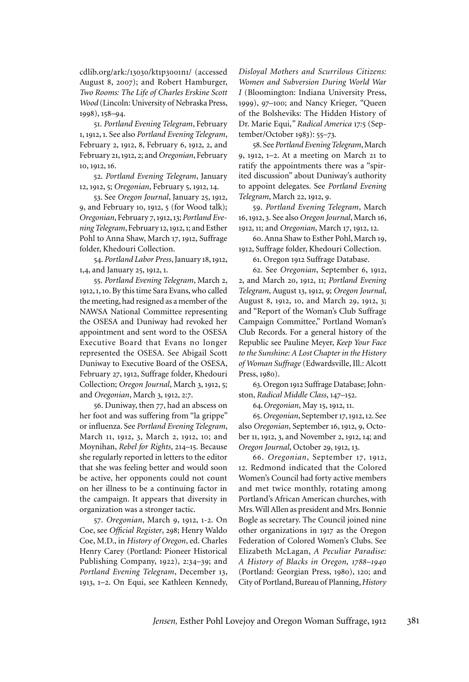cdlib.org/ark:/13030/kt1p3001n1/ (accessed August 8, 2007); and Robert Hamburger, *Two Rooms: The Life of Charles Erskine Scott Wood* (Lincoln: University of Nebraska Press, 1998), 158–94.

51. *Portland Evening Telegram*, February 1, 1912, 1. See also *Portland Evening Telegram*, February 2, 1912, 8, February 6, 1912, 2, and February 21, 1912, 2; and *Oregonian*, February 10, 1912, 16.

52. *Portland Evening Telegram*, January 12, 1912, 5; *Oregonian*, February 5, 1912, 14.

53. See *Oregon Journal*, January 25, 1912, 9, and February 10, 1912, 5 (for Wood talk); *Oregonian*, February 7, 1912, 13; *Portland Evening Telegram*, February 12, 1912, 1; and Esther Pohl to Anna Shaw, March 17, 1912, Suffrage folder, Khedouri Collection.

54. *Portland Labor Press*, January 18, 1912, 1,4, and January 25, 1912, 1.

55. *Portland Evening Telegram*, March 2, 1912, 1, 10. By this time Sara Evans, who called the meeting, had resigned as a member of the NAWSA National Committee representing the OSESA and Duniway had revoked her appointment and sent word to the OSESA Executive Board that Evans no longer represented the OSESA. See Abigail Scott Duniway to Executive Board of the OSESA, February 27, 1912, Suffrage folder, Khedouri Collection; *Oregon Journal*, March 3, 1912, 5; and *Oregonian*, March 3, 1912, 2:7.

56. Duniway, then 77, had an abscess on her foot and was suffering from "la grippe" or influenza. See *Portland Evening Telegram*, March 11, 1912, 3, March 2, 1912, 10; and Moynihan, *Rebel for Rights*, 214–15. Because she regularly reported in letters to the editor that she was feeling better and would soon be active, her opponents could not count on her illness to be a continuing factor in the campaign. It appears that diversity in organization was a stronger tactic.

57. *Oregonian*, March 9, 1912, 1-2. On Coe, see *Official Register*, 298; Henry Waldo Coe, M.D., in *History of Oregon*, ed. Charles Henry Carey (Portland: Pioneer Historical Publishing Company, 1922), 2:34–39; and *Portland Evening Telegram*, December 13, 1913, 1–2. On Equi, see Kathleen Kennedy,

*Disloyal Mothers and Scurrilous Citizens: Women and Subversion During World War I* (Bloomington: Indiana University Press, 1999), 97–100; and Nancy Krieger, *"*Queen of the Bolsheviks: The Hidden History of Dr. Marie Equi,*" Radical America* 17*:*5 (September/October 1983): 55*–*73*.* 

58. See *Portland Evening Telegram*, March 9, 1912, 1–2. At a meeting on March 21 to ratify the appointments there was a "spirited discussion" about Duniway's authority to appoint delegates. See *Portland Evening Telegram*, March 22, 1912, 9.

59. *Portland Evening Telegram*, March 16, 1912, 3. See also *Oregon Journal*, March 16, 1912, 11; and *Oregonian*, March 17, 1912, 12.

60. Anna Shaw to Esther Pohl, March 19, 1912, Suffrage folder, Khedouri Collection.

61. Oregon 1912 Suffrage Database.

62. See *Oregonian*, September 6, 1912, 2, and March 20, 1912, 11; *Portland Evening Telegram*, August 13, 1912, 9; *Oregon Journal*, August 8, 1912, 10, and March 29, 1912, 3; and "Report of the Woman's Club Suffrage Campaign Committee," Portland Woman's Club Records. For a general history of the Republic see Pauline Meyer, *Keep Your Face to the Sunshine: A Lost Chapter in the History of Woman Suffrage* (Edwardsville, Ill.: Alcott Press, 1980).

63. Oregon 1912 Suffrage Database; Johnston, *Radical Middle Class*, 147–152.

64.*Oregonian*, May 15, 1912, 11.

65. *Oregonian*, September 17, 1912, 12. See also *Oregonian*, September 16, 1912, 9, October 11, 1912, 3, and November 2, 1912, 14; and *Oregon Journal*, October 29, 1912, 13.

66. *Oregonian*, September 17, 1912, 12. Redmond indicated that the Colored Women's Council had forty active members and met twice monthly, rotating among Portland's African American churches, with Mrs. Will Allen as president and Mrs. Bonnie Bogle as secretary. The Council joined nine other organizations in 1917 as the Oregon Federation of Colored Women's Clubs. See Elizabeth McLagan, *A Peculiar Paradise: A History of Blacks in Oregon, 1788–1940* (Portland: Georgian Press, 1980), 120; and City of Portland, Bureau of Planning, *History*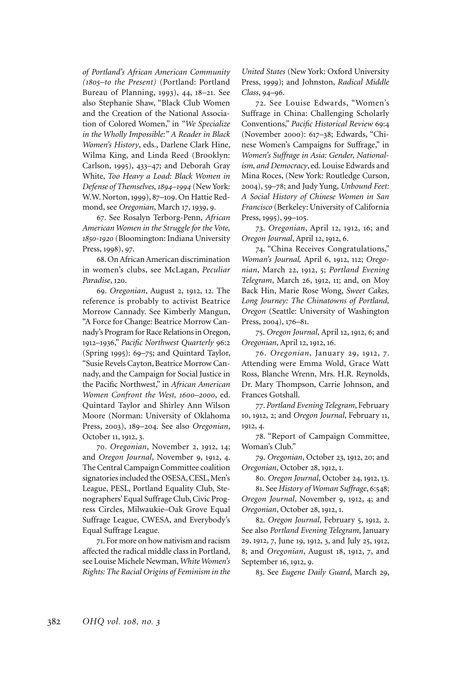*of Portland's African American Community (1805–to the Present)* (Portland: Portland Bureau of Planning, 1993), 44, 18–21. See also Stephanie Shaw, "Black Club Women and the Creation of the National Association of Colored Women," in *"We Specialize in the Wholly Impossible:" A Reader in Black Women's History*, eds., Darlene Clark Hine, Wilma King, and Linda Reed (Brooklyn: Carlson, 1995), 433–47; and Deborah Gray White, *Too Heavy a Load: Black Women in Defense of Themselves, 1894–1994* (New York: W.W. Norton, 1999), 87–109. On Hattie Redmond, see *Oregonian*, March 17, 1939, 9.

67. See Rosalyn Terborg-Penn, *African American Women in the Struggle for the Vote, 1850-1920* (Bloomington: Indiana University Press, 1998), 97.

68. On African American discrimination in women's clubs, see McLagan, *Peculiar Paradise*, 120.

69. *Oregonian*, August 2, 1912, 12. The reference is probably to activist Beatrice Morrow Cannady. See Kimberly Mangun, "A Force for Change: Beatrice Morrow Cannady's Program for Race Relations in Oregon, 1912–1936," *Pacific Northwest Quarterly* 96:2 (Spring 1995): 69–75; and Quintard Taylor, "Susie Revels Cayton, Beatrice Morrow Cannady, and the Campaign for Social Justice in the Pacific Northwest," in *African American Women Confront the West, 1600–2000*, ed. Quintard Taylor and Shirley Ann Wilson Moore (Norman: University of Oklahoma Press, 2003), 189–204. See also *Oregonian*, October 11, 1912, 3.

70. *Oregonian*, November 2, 1912, 14; and *Oregon Journal*, November 9, 1912, 4. The Central Campaign Committee coalition signatories included the OSESA, CESL, Men's League, PESL, Portland Equality Club, Stenographers' Equal Suffrage Club, Civic Progress Circles, Milwaukie–Oak Grove Equal Suffrage League, CWESA, and Everybody's Equal Suffrage League.

71. For more on how nativism and racism affected the radical middle class in Portland, see Louise Michele Newman, *White Women's Rights: The Racial Origins of Feminism in the*  *United States* (New York: Oxford University Press, 1999); and Johnston, *Radical Middle Class*, 94–96.

72. See Louise Edwards, "Women's Suffrage in China: Challenging Scholarly Conventions," *Pacific Historical Review* 69:4 (November 2000): 617–38; Edwards, "Chinese Women's Campaigns for Suffrage," in *Women's Suffrage in Asia: Gender, Nationalism, and Democracy*, ed. Louise Edwards and Mina Roces, (New York: Routledge Curson, 2004), 59–78; and Judy Yung, *Unbound Feet: A Social History of Chinese Women in San Francisco* (Berkeley: University of California Press, 1995), 99–105.

73. *Oregonian*, April 12, 1912, 16; and *Oregon Journal*, April 12, 1912, 6.

74. "China Receives Congratulations," *Woman's Journal,* April 6, 1912, 112; *Oregonian*, March 22, 1912, 5; *Portland Evening Telegram*, March 26, 1912, 11; and, on Moy Back Hin, Marie Rose Wong, *Sweet Cakes, Long Journey: The Chinatowns of Portland, Oregon* (Seattle: University of Washington Press, 2004), 176–81.

75. *Oregon Journal*, April 12, 1912, 6; and *Oregonian*, April 12, 1912, 16.

76. *Oregonian*, January 29, 1912, 7. Attending were Emma Wold, Grace Watt Ross, Blanche Wrenn, Mrs. H.R. Reynolds, Dr. Mary Thompson, Carrie Johnson, and Frances Gotshall.

77. *Portland Evening Telegram*, February 10, 1912, 2; and *Oregon Journal*, February 11, 1912, 4.

78. "Report of Campaign Committee, Woman's Club."

79. *Oregonian*, October 23, 1912, 20; and *Oregonian*, October 28, 1912, 1.

80. *Oregon Journal*, October 24, 1912, 13.

81. See *History of Woman Suffrage*, 6:548; *Oregon Journal*, November 9, 1912, 4; and *Oregonian*, October 28, 1912, 1.

82. *Oregon Journal*, February 5, 1912, 2. See also *Portland Evening Telegram*, January 29, 1912, 7, June 19, 1912, 3, and July 25, 1912, 8; and *Oregonian*, August 18, 1912, 7, and September 16, 1912, 9.

83. See *Eugene Daily Guard*, March 29,